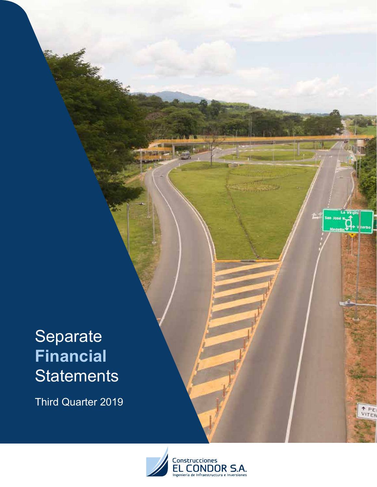Third Quarter 2019



PE TER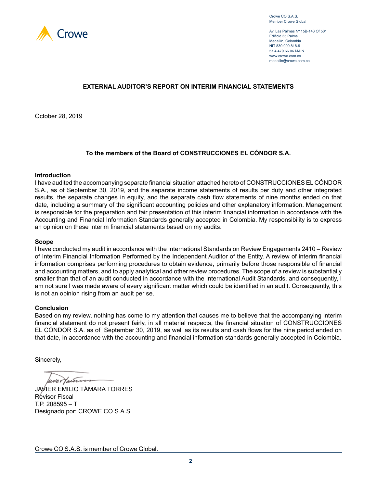

Crowe CO S.A.S. Member Crowe Global

Av. Las Palmas Nº 15B-143 Of 501 Edificio 35 Palms Medellín, Colombia NIT 830.000.818-9 57.4.479.66.06 MAIN www.crowe.com.co medellin@crowe.com.co

### **EXTERNAL AUDITOR'S REPORT ON INTERIM FINANCIAL STATEMENTS**

October 28, 2019

### **To the members of the Board of CONSTRUCCIONES EL CÓNDOR S.A.**

### **Introduction**

I have audited the accompanying separate financial situation attached hereto of CONSTRUCCIONES EL CÓNDOR S.A., as of September 30, 2019, and the separate income statements of results per duty and other integrated results, the separate changes in equity, and the separate cash flow statements of nine months ended on that date, including a summary of the significant accounting policies and other explanatory information. Management is responsible for the preparation and fair presentation of this interim financial information in accordance with the Accounting and Financial Information Standards generally accepted in Colombia. My responsibility is to express an opinion on these interim financial statements based on my audits.

#### **Scope**

I have conducted my audit in accordance with the International Standards on Review Engagements 2410 – Review of Interim Financial Information Performed by the Independent Auditor of the Entity. A review of interim financial information comprises performing procedures to obtain evidence, primarily before those responsible of financial and accounting matters, and to apply analytical and other review procedures. The scope of a review is substantially smaller than that of an audit conducted in accordance with the International Audit Standards, and consequently, I am not sure I was made aware of every significant matter which could be identified in an audit. Consequently, this is not an opinion rising from an audit per se.

### **Conclusion**

Based on my review, nothing has come to my attention that causes me to believe that the accompanying interim financial statement do not present fairly, in all material respects, the financial situation of CONSTRUCCIONES EL CÓNDOR S.A. as of September 30, 2019, as well as its results and cash flows for the nine period ended on that date, in accordance with the accounting and financial information standards generally accepted in Colombia.

Sincerely,

uner Taur

JAVIER EMILIO TÁMARA TORRES Revisor Fiscal T.P. 208595 – T Designado por: CROWE CO S.A.S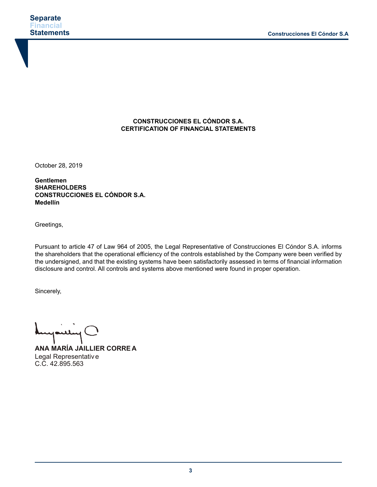### **CONSTRUCCIONES EL CÓNDOR S.A. CERTIFICATION OF FINANCIAL STATEMENTS**

October 28, 2019

**Gentlemen SHAREHOLDERS CONSTRUCCIONES EL CÓNDOR S.A. Medellín**

Greetings,

Pursuant to article 47 of Law 964 of 2005, the Legal Representative of Construcciones El Cóndor S.A. informs the shareholders that the operational efficiency of the controls established by the Company were been verified by the undersigned, and that the existing systems have been satisfactorily assessed in terms of financial information disclosure and control. All controls and systems above mentioned were found in proper operation.

Sincerely,

and  $\bigcirc$ 

**ANA MARÍA JAILLIER CORRE A** Legal Representative C.C. 42.895.563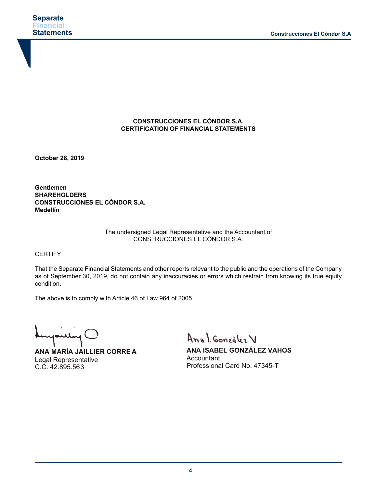### **CONSTRUCCIONES EL CÓNDOR S.A. CERTIFICATION OF FINANCIAL STATEMENTS**

**October 28, 2019**

**Gentlemen SHAREHOLDERS CONSTRUCCIONES EL CÓNDOR S.A. Medellín**

### The undersigned Legal Representative and the Accountant of CONSTRUCCIONES EL CÓNDOR S.A.

**CERTIFY** 

That the Separate Financial Statements and other reports relevant to the public and the operations of the Company as of September 30, 2019, do not contain any inaccuracies or errors which restrain from knowing its true equity condition.

The above is to comply with Article 46 of Law 964 of 2005.

mpuling

**ANA MARÍA JAILLIER CORRE A** Legal Representative C.C. 42.895.563

Anal González V

**ANA ISABEL GONZÁLEZ VAHOS Accountant** Professional Card No. 47345-T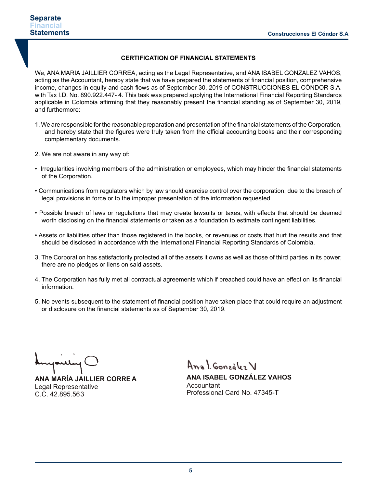### **CERTIFICATION OF FINANCIAL STATEMENTS**

We, ANA MARIA JAILLIER CORREA, acting as the Legal Representative, and ANA ISABEL GONZALEZ VAHOS, acting as the Accountant, hereby state that we have prepared the statements of financial position, comprehensive income, changes in equity and cash flows as of September 30, 2019 of CONSTRUCCIONES EL CÓNDOR S.A. with Tax I.D. No. 890.922.447- 4. This task was prepared applying the International Financial Reporting Standards applicable in Colombia affirming that they reasonably present the financial standing as of September 30, 2019, and furthermore:

- 1. We are responsible for the reasonable preparation and presentation of the financial statements of the Corporation, and hereby state that the figures were truly taken from the official accounting books and their corresponding complementary documents.
- 2. We are not aware in any way of:
- Irregularities involving members of the administration or employees, which may hinder the financial statements of the Corporation.
- Communications from regulators which by law should exercise control over the corporation, due to the breach of legal provisions in force or to the improper presentation of the information requested.
- Possible breach of laws or regulations that may create lawsuits or taxes, with effects that should be deemed worth disclosing on the financial statements or taken as a foundation to estimate contingent liabilities.
- Assets or liabilities other than those registered in the books, or revenues or costs that hurt the results and that should be disclosed in accordance with the International Financial Reporting Standards of Colombia.
- 3. The Corporation has satisfactorily protected all of the assets it owns as well as those of third parties in its power; there are no pledges or liens on said assets.
- 4. The Corporation has fully met all contractual agreements which if breached could have an effect on its financial information.
- 5. No events subsequent to the statement of financial position have taken place that could require an adjustment or disclosure on the financial statements as of September 30, 2019.

yoully

**ANA MARÍA JAILLIER CORRE A** Legal Representative C.C. 42.895.563

Anal González V

**ANA ISABEL GONZÁLEZ VAHOS** Accountant Professional Card No. 47345-T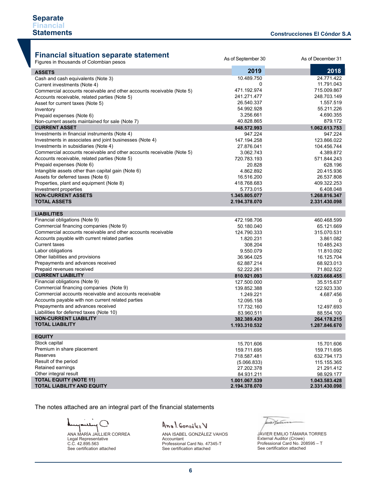As of September 30 As of December 31

# **Financial situation separate statement**

Figures in thousands of Colombian pesos

| Figures in thousands of Colombian pesos                                   |               |               |
|---------------------------------------------------------------------------|---------------|---------------|
| <b>ASSETS</b>                                                             | 2019          | 2018          |
| Cash and cash equivalents (Note 3)                                        | 10.489.750    | 24.771.422    |
| Current investments (Note 4)                                              | 0             | 11.791.043    |
| Commercial accounts receivable and other accounts receivable (Note 5)     | 471.192.974   | 715.009.867   |
| Accounts receivable, related parties (Note 5)                             | 241.271.477   | 248.703.149   |
| Asset for current taxes (Note 5)                                          | 26.540.337    | 1.557.519     |
| Inventory                                                                 | 54.992.928    | 55.211.226    |
| Prepaid expenses (Note 6)                                                 | 3.256.661     | 4.690.355     |
| Non-current assets maintained for sale (Note 7)                           | 40.828.865    | 879.172       |
| <b>CURRENT ASSET</b>                                                      | 848.572.993   | 1.062.613.753 |
| Investments in financial instruments (Note 4)                             | 947.224       | 947.224       |
| Investments in associates and joint businesses (Note 4)                   | 147.194.258   | 123.866.022   |
| Investments in subsidiaries (Note 4)                                      | 27.876.041    | 104.456.744   |
| Commercial accounts receivable and other accounts receivable (Note 5)     | 3.062.743     | 4.389.872     |
| Accounts receivable, related parties (Note 5)                             | 720.783.193   | 571.844.243   |
| Prepaid expenses (Note 6)                                                 | 20.828        | 628.196       |
| Intangible assets other than capital gain (Note 6)                        | 4.862.892     | 20.415.936    |
| Assets for deferred taxes (Note 6)                                        | 16.516.200    | 26.537.808    |
| Properties, plant and equipment (Note 8)                                  | 418.768.683   | 409.322.253   |
| Investment properties                                                     | 5.773.015     | 6.408.048     |
| <b>NON-CURRENT ASSETS</b>                                                 | 1.345.805.077 | 1.268.816.347 |
| <b>TOTAL ASSETS</b>                                                       | 2.194.378.070 | 2.331.430.098 |
| <b>LIABILITIES</b>                                                        |               |               |
|                                                                           | 472.198.706   | 460.468.599   |
| Financial obligations (Note 9)<br>Commercial financing companies (Note 9) | 50.180.040    | 65.121.669    |
| Commercial accounts receivable and other accounts receivable              | 124.790.333   | 315.070.531   |
| Accounts payable with current related parties                             | 1.820.231     | 3.861.082     |
| <b>Current taxes</b>                                                      | 308.204       | 10.485.243    |
| Labor obligations                                                         | 9.550.079     | 11.810.092    |
| Other liabilities and provisions                                          | 36.964.025    | 16.125.704    |
| Prepayments and advances received                                         | 62.887.214    | 68.923.013    |
| Prepaid revenues received                                                 | 52.222.261    | 71.802.522    |
| <b>CURRENT LIABILITY</b>                                                  | 810.921.093   | 1.023.668.455 |
| Financial obligations (Note 9)                                            | 127.500.000   | 35.515.637    |
| Commercial financing companies (Note 9)                                   | 139.852.388   | 122.923.330   |
| Commercial accounts receivable and accounts receivable                    | 1.249.221     | 4.687.456     |
| Accounts payable with non current related parties                         | 12.095.158    | $\Omega$      |
| Prepayments and advances received                                         | 17.732.160    | 12.497.693    |
| Liabilities for deferred taxes (Note 10)                                  | 83.960.511    | 88.554.100    |
| <b>NON-CURRENT LIABILITY</b>                                              | 382.389.439   | 264.178.215   |
| <b>TOTAL LIABILITY</b>                                                    | 1.193.310.532 | 1.287.846.670 |
|                                                                           |               |               |
| <b>EQUITY</b>                                                             |               |               |
| Stock capital                                                             | 15.701.606    | 15.701.606    |
| Premium in share placement                                                | 159.711.695   | 159.711.695   |
| Reserves                                                                  | 718.587.481   | 632.794.173   |
| Result of the period                                                      | (5.066.833)   | 115.155.365   |
| Retained earnings                                                         | 27.202.378    | 21.291.412    |
| Other integral result                                                     | 84.931.211    | 98.929.177    |
| <b>TOTAL EQUITY (NOTE 11)</b><br><b>TOTAL LIABILITY AND EQUITY</b>        | 1.001.067.539 | 1.043.583.428 |
|                                                                           | 2.194.378.070 | 2.331.430.098 |

The notes attached are an integral part of the financial statements

 $\mathcal{L}^{\pm}$  $\overline{\phantom{a}}$  $\bigcirc$ A سلسم ANA MARÍA JAILLIER CORREA Legal Representative C.C. 42.895.563 See certification attached

# Anal González V

ANA ISABEL GONZÁLEZ VAHOS Accountant Professional Card No. 47345-T See certification attached

leave mens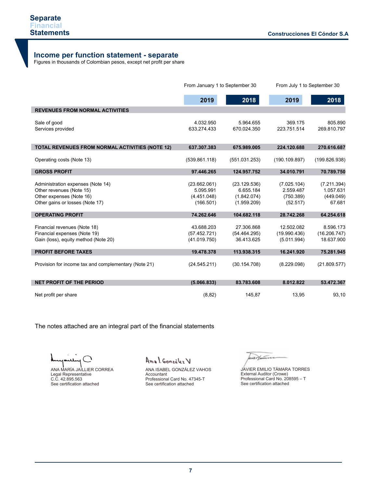## **Income per function statement - separate**

Figures in thousands of Colombian pesos, except net profit per share

|                                                                                                                              | From January 1 to September 30                        |                                                         | From July 1 to September 30                       |                                                 |
|------------------------------------------------------------------------------------------------------------------------------|-------------------------------------------------------|---------------------------------------------------------|---------------------------------------------------|-------------------------------------------------|
|                                                                                                                              | 2019                                                  | 2018                                                    | 2019                                              | 2018                                            |
| <b>REVENUES FROM NORMAL ACTIVITIES</b>                                                                                       |                                                       |                                                         |                                                   |                                                 |
| Sale of good<br>Services provided                                                                                            | 4.032.950<br>633.274.433                              | 5.964.655<br>670.024.350                                | 369.175<br>223.751.514                            | 805.890<br>269.810.797                          |
| <b>TOTAL REVENUES FROM NORMAL ACTIVITIES (NOTE 12)</b>                                                                       | 637.307.383                                           | 675.989.005                                             | 224.120.688                                       | 270.616.687                                     |
| Operating costs (Note 13)                                                                                                    | (539.861.118)                                         | (551.031.253)                                           | (190.109.897)                                     | (199.826.938)                                   |
| <b>GROSS PROFIT</b>                                                                                                          | 97.446.265                                            | 124.957.752                                             | 34.010.791                                        | 70.789.750                                      |
| Administration expenses (Note 14)<br>Other revenues (Note 15)<br>Other expenses (Note 16)<br>Other gains or losses (Note 17) | (23.662.061)<br>5.095.991<br>(4.451.048)<br>(166.501) | (23.129.536)<br>6.655.184<br>(1.842.074)<br>(1.959.209) | (7.025.104)<br>2.559.487<br>(750.389)<br>(52.517) | (7.211.394)<br>1.057.631<br>(449.049)<br>67.681 |
| <b>OPERATING PROFIT</b>                                                                                                      | 74.262.646                                            | 104.682.118                                             | 28.742.268                                        | 64.254.618                                      |
| Financial revenues (Note 18)<br>Financial expenses (Note 19)<br>Gain (loss), equity method (Note 20)                         | 43.688.203<br>(57.452.721)<br>(41.019.750)            | 27.306.868<br>(54.464.295)<br>36.413.625                | 12.502.082<br>(19.990.436)<br>(5.011.994)         | 8.596.173<br>(16.206.747)<br>18.637.900         |
| <b>PROFIT BEFORE TAXES</b>                                                                                                   | 19.478.378                                            | 113.938.315                                             | 16.241.920                                        | 75.281.945                                      |
| Provision for income tax and complementary (Note 21)                                                                         | (24.545.211)                                          | (30.154.708)                                            | (8.229.098)                                       | (21.809.577)                                    |
| <b>NET PROFIT OF THE PERIOD</b>                                                                                              | (5.066.833)                                           | 83.783.608                                              | 8.012.822                                         | 53.472.367                                      |
| Net profit per share                                                                                                         | (8, 82)                                               | 145,87                                                  | 13,95                                             | 93,10                                           |

The notes attached are an integral part of the financial statements

ANA MARÍA JAILLIER CORREA Legal Representative C.C. 42.895.563 See certification attached

Anal González V

ANA ISABEL GONZÁLEZ VAHOS Accountant Professional Card No. 47345-T See certification attached

lever punto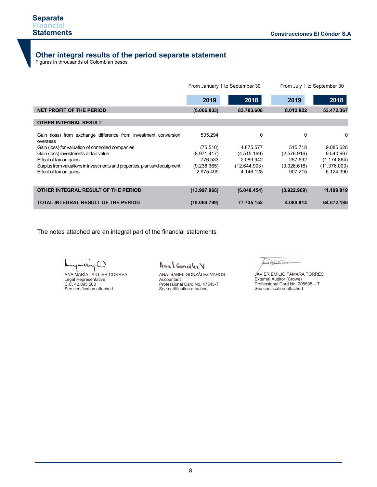# **Other integral results of the period separate statement**

Figures in throusands of Colombian pesos

|                                                                                                                                  |                        | From January 1 to September 30 | From July 1 to September 30 |                             |  |
|----------------------------------------------------------------------------------------------------------------------------------|------------------------|--------------------------------|-----------------------------|-----------------------------|--|
|                                                                                                                                  | 2019                   | 2018                           | 2019                        | 2018                        |  |
| <b>NET PROFIT OF THE PERIOD</b>                                                                                                  | (5.066.833)            | 83.783.608                     | 8.012.822                   | 53.472.367                  |  |
| <b>OTHER INTEGRAL RESULT</b>                                                                                                     |                        |                                |                             |                             |  |
| Gain (loss) from exchange difference from investment conversion<br>overseas<br>Gain (loss) for valuation of controlled companies | 535.294<br>(75.510)    | 0<br>4.875.577                 | 0<br>515.718                | 0<br>9.085.628              |  |
| Gain (loss) investments at fair value                                                                                            | (8.971.417)            | (4.515.199)                    | (2.576.916)                 | 9.540.667                   |  |
| Effect of tax on gains<br>Surplus from valuations in investments and properties, plant and equipment                             | 776.533<br>(9.238.365) | 2.089.942<br>(12.644.903)      | 257.692<br>(3.026.618)      | (1.174.864)<br>(11.376.003) |  |
| Effect of tax on gains                                                                                                           | 2.975.499              | 4.146.128                      | 907.215                     | 5.124.390                   |  |
|                                                                                                                                  |                        |                                |                             |                             |  |
| OTHER INTEGRAL RESULT OF THE PERIOD                                                                                              | (13.997.966)           | (6.048.454)                    | (3.922.909)                 | 11.199.819                  |  |
| TOTAL INTEGRAL RESULT OF THE PERIOD                                                                                              | (19.064.799)           | 77.735.153                     | 4.089.914                   | 64.672.186                  |  |

The notes attached are an integral part of the financial statements

J

ANA MARÍA JAILLIER CORREA Legal Representative C.C. 42.895.563 See certification attached

Anal González V

ANA ISABEL GONZÁLEZ VAHOS Accountant Professional Card No. 47345-T See certification attached

aux Januar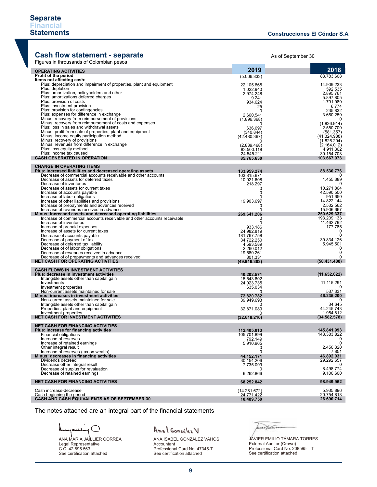### **Cash flow statement - separate** And As of September 30

Figures in throusands of Colombian pesos

| <b>Report in the cooliginal of Octombian posses</b>                                                     |                           |                           |
|---------------------------------------------------------------------------------------------------------|---------------------------|---------------------------|
| <b>OPERATING ACTIVITIES</b>                                                                             | 2019                      | 2018                      |
| Profit of the period<br>Items not affecting cash:                                                       | (5.066.833)               | 83.783.608                |
| Plus: depreciation and impairment of properties, plant and equipment                                    | 22.105.865                | 14.909.233                |
| Plus: depletion                                                                                         | 1.022.940                 | 592.535                   |
| Plus: amortization, policyholders and other<br>Plus: amortizations deferred charges                     | 2.974.248                 | 2.895.761<br>5.897.805    |
| Plus: provision of costs                                                                                | 9.241<br>934.624          | 1.791.980                 |
| Plus: investment provision                                                                              | 25                        | 6.774                     |
| Plus: provision for contingencies<br>Plus: expenses for difference in exchange                          | $\Omega$                  | 235.832                   |
| Minus: recovery from reimbursement of provisions                                                        | 2.660.541<br>(1.896.368)  | 3.660.250                 |
| Minus: recovery from reimbursement of costs and expenses                                                |                           | (1.826.914)               |
| Plus: loss in sales and withdrawal assets<br>Minus: profit from sale of properties, plant and equipment | 636.697                   | 2.550.700                 |
| Minus: income equity participation method                                                               | (340.844)<br>(42.480.367) | (581.357)<br>(41.324.988) |
| Minus: recovery of provisions                                                                           | Ω                         | (1.826.204)               |
| Minus: revenues from difference in exchange<br>Plus: loss equity method                                 | (2.839.468)               | (2.164.012)               |
| Plus: income tax caused                                                                                 | 83.500.118<br>24.545.211  | 4.911.362<br>30.154.708   |
| <b>CASH GENERATED IN OPERATION</b>                                                                      | 85.765.630                | 103.667.073               |
| <b>CHANGE IN OPERATING ITEMS</b>                                                                        |                           |                           |
| Plus: increased liabilities and decreased operating assets                                              | 133.959.274               | 88.530.776                |
| Decrease of commercial accounts receivable and other accounts                                           | 103.815.671               |                           |
| Decrease of assets for deferred taxes<br>Decrease of inventories                                        | 10.021.608                | 1.455.389                 |
| Decrease of assets for current taxes                                                                    | 218.297<br>$\Omega$       | 10.271.864                |
| Increase of accounts payable                                                                            | 0                         | 42.590.500                |
| Increase of labor obligations                                                                           | 0                         | 951.650<br>14.822.144     |
| Increase of other liabilities and provisions<br>Increase of prepayments and advances received           | 19.903.697<br>0           | 2.532.562                 |
| Increase of revenues received in advance                                                                | U                         | 15.906.667                |
| Minus: increased assets and decreased operating liabilities                                             | 269.641.206               | 250.629.337               |
| Increase of commercial accounts receivable and other accounts receivable<br>Increase of inventories     | 0<br>0                    | 193.209.133<br>11.462.792 |
| Increase of prepaid expenses                                                                            | 933.186                   | 177.785                   |
| Increase of assets for current taxes                                                                    | 24.982.819                | 0                         |
| Decrease of accounts payable<br>Decrease of payment of tax                                              | 181.767.758<br>34.722.250 | $\Omega$<br>39.834.126    |
| Decrease of deferred tax liability                                                                      | 4.593.589                 | 5.945.501                 |
| Decrease of of labor obligations                                                                        | 2.260.012                 | $\Omega$                  |
| Decrease of revenues received in advance<br>Decrease of of prepayments and advances received            | 19.580.261<br>801.331     | 0<br>0                    |
| <b>NET CASH FOR OPERATING ACTIVITIES</b>                                                                | (49.916.303)              | (58.431.488)              |
| <b>CASH FLOWS IN INVESTMENT ACTIVITIES</b>                                                              |                           |                           |
| Plus: decrease in investment activities                                                                 | 40.202.571                | (11.652.622)              |
| Intangible assets other than capital gain                                                               | 15.543.802                |                           |
| Investments                                                                                             | 24.023.735                | 11.115.291                |
| Investment properties<br>Non-current assets maintained for sale                                         | 635.034<br>$\Omega$       | 537.331                   |
| Minus: increases in investment activities                                                               | 72.820.782                | 46.235.200                |
| Non-current assets maintained for sale                                                                  | 39.949.693<br>0           | $\Omega$<br>34.645        |
| Intangible assets other than capital gain<br>Properties, plant and equipment                            | 32.871.089                | 44.245.743                |
| Investment properties                                                                                   | n                         | 1.954.812                 |
| <b>NET CASH FOR INVESTMENT ACTIVITIES</b>                                                               | (32.618.210)              | (34.582.578)              |
| <b>NET CASH FOR FINANCING ACTIVITIES</b>                                                                |                           |                           |
| Plus: increase for financing activities                                                                 | 112.405.013               | 145.841.993               |
| <b>Financial obligations</b><br>Increase of reserves                                                    | 105.701.899<br>792.149    | 143.383.822               |
| Increase of retained earnings                                                                           | 5.910.965                 | $\mathbf 0$               |
| Other integral result                                                                                   | 0                         | 2.450.320                 |
| Increase of reserves (tax on wealth)<br>Minus: decreases in financing activities                        | 0<br>44.152.171           | 7.851<br>46.892.031       |
| Dividends decreed                                                                                       | 30.154.206                | 29.292.657                |
| Decrease other integral result                                                                          | 7.735.099                 | 0                         |
| Decrease of surplus for revaluation<br>Decrease of retained earnings                                    | $\Omega$<br>6.262.866     | 8.498.774<br>9.100.600    |
|                                                                                                         |                           |                           |
| <b>NET CASH FOR FINANCING ACTIVITIES</b>                                                                | 68.252.842                | 98.949.962                |
| Cash increase-decrease                                                                                  | (14.281.672)              | 5.935.896                 |
| Cash beginning the period                                                                               | 24.771.422                | 20.754.818                |
| CASH AÑD CĂSH EQUIVALENTS AS OF SEPTEMBER 30                                                            | 10.489.750                | 26.690.714                |

The notes attached are an integral part of the financial statements

ANA MARÍA JAILLIER CORREA Legal Representative C.C. 42.895.563 See certification attached

# Anal Gonzalez V

ANA ISABEL GONZÁLEZ VAHOS Accountant Professional Card No. 47345-T See certification attached

aux Hauten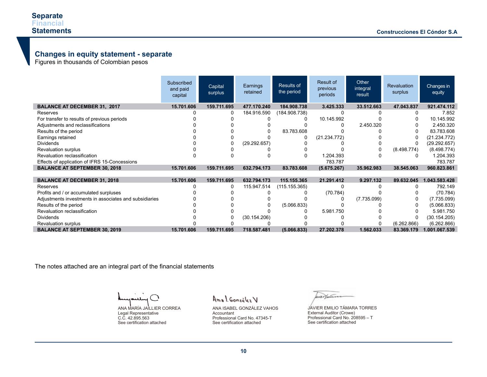### **Changes in equity statement - separate**

Figures in thousands of Colombian pesos

|                                                        | Subscribed<br>and paid<br>capital | Capital<br>surplus | Earnings<br>retained | Results of<br>the period | Result of<br>previous<br>periods | Other<br>integral<br>result | <b>Revaluation</b><br>surplus | Changes in<br>equity |
|--------------------------------------------------------|-----------------------------------|--------------------|----------------------|--------------------------|----------------------------------|-----------------------------|-------------------------------|----------------------|
| <b>BALANCE AT DECEMBER 31, 2017</b>                    | 15.701.606                        | 159.711.695        | 477.170.240          | 184.908.738              | 3.425.333                        | 33.512.663                  | 47.043.837                    | 921.474.112          |
| Reserves                                               |                                   | 0                  | 184.916.590          | (184.908.738)            |                                  |                             |                               | 7.852                |
| For transfer to results of previous periods            |                                   |                    |                      |                          | 10.145.992                       |                             |                               | 10.145.992           |
| Adjustments and reclassifications                      |                                   |                    |                      |                          |                                  | 2.450.320                   |                               | 2.450.320            |
| Results of the period                                  |                                   |                    |                      | 83.783.608               |                                  |                             |                               | 83.783.608           |
| Earnings retained                                      |                                   |                    |                      |                          | (21.234.772)                     |                             |                               | (21.234.772)         |
| <b>Dividends</b>                                       |                                   |                    | (29.292.657)         |                          |                                  |                             |                               | (29.292.657)         |
| Revaluation surplus                                    |                                   |                    |                      |                          |                                  |                             | (8.498.774)                   | (8.498.774)          |
| Revaluation reclassification                           |                                   |                    |                      |                          | 1.204.393                        |                             |                               | 1.204.393            |
| Effects of application of IFRS 15-Concessions          |                                   |                    |                      |                          | 783.787                          |                             |                               | 783.787              |
| <b>BALANCE AT SEPTEMBER 30, 2018</b>                   | 15.701.606                        | 159.711.695        | 632.794.173          | 83.783.608               | (5.675.267)                      | 35.962.983                  | 38.545.063                    | 960.823.861          |
|                                                        |                                   |                    |                      |                          |                                  |                             |                               |                      |
| <b>BALANCE AT DECEMBER 31, 2018</b>                    | 15.701.606                        | 159.711.695        | 632.794.173          | 115.155.365              | 21.291.412                       | 9.297.132                   | 89.632.045                    | 1.043.583.428        |
| Reserves                                               |                                   | 0                  | 115.947.514          | (115.155.365)            |                                  |                             |                               | 792.149              |
| Profits and / or accumulated surpluses                 |                                   |                    |                      |                          | (70.784)                         |                             |                               | (70.784)             |
| Adjustments investments in associates and subsidiaries |                                   |                    |                      |                          |                                  | (7.735.099)                 |                               | (7.735.099)          |
| Results of the period                                  |                                   |                    |                      | (5.066.833)              |                                  |                             |                               | (5.066.833)          |
| Revaluation reclassification                           |                                   |                    |                      |                          | 5.981.750                        |                             |                               | 5.981.750            |
| <b>Dividends</b>                                       |                                   |                    | (30.154.206)         |                          |                                  |                             |                               | (30.154.205)         |
| Revaluation surplus                                    |                                   |                    |                      |                          |                                  |                             | (6.262.866)                   | (6.262.866)          |
| <b>BALANCE AT SEPTEMBER 30, 2019</b>                   | 15.701.606                        | 159.711.695        | 718.587.481          | (5.066.833)              | 27.202.378                       | 1.562.033                   | 83.369.179                    | 1.001.067.539        |

The notes attached are an integral part of the financial statements

 $\left( \begin{array}{c} \lambda \\ \lambda \end{array} \right)$ سللته

ANA MARÍA JAILLIER CORREA Legal Representative C.C. 42.895.563 See certification attached

Anal Gonzalez V

ANA ISABEL GONZÁLEZ VAHOS Accountant Professional Card No. 47345-T See certification attached

werthiers

JAVIER EMILIO TÁMARA TORRES External Auditor (Crowe) Professional Card No. 208595 – T See certification attached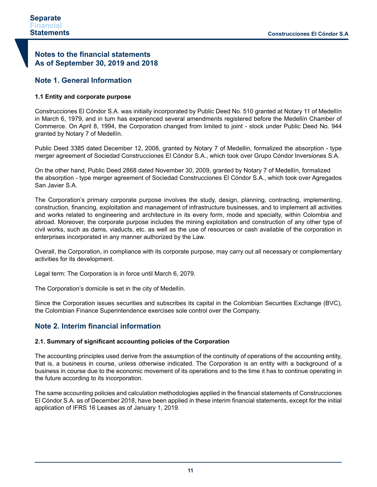# **Notes to the financial statements As of September 30, 2019 and 2018**

# **Note 1. General Information**

### **1.1 Entity and corporate purpose**

Construcciones El Cóndor S.A. was initially incorporated by Public Deed No. 510 granted at Notary 11 of Medellín in March 6, 1979, and in turn has experienced several amendments registered before the Medellín Chamber of Commerce. On April 8, 1994, the Corporation changed from limited to joint - stock under Public Deed No. 944 granted by Notary 7 of Medellín.

Public Deed 3385 dated December 12, 2008, granted by Notary 7 of Medellin, formalized the absorption - type merger agreement of Sociedad Construcciones El Cóndor S.A., which took over Grupo Cóndor Inversiones S.A.

On the other hand, Public Deed 2868 dated November 30, 2009, granted by Notary 7 of Medellín, formalized the absorption - type merger agreement of Sociedad Construcciones El Cóndor S.A., which took over Agregados San Javier S.A.

The Corporation's primary corporate purpose involves the study, design, planning, contracting, implementing, construction, financing, exploitation and management of infrastructure businesses, and to implement all activities and works related to engineering and architecture in its every form, mode and specialty, within Colombia and abroad. Moreover, the corporate purpose includes the mining exploitation and construction of any other type of civil works, such as dams, viaducts, etc. as well as the use of resources or cash available of the corporation in enterprises incorporated in any manner authorized by the Law.

Overall, the Corporation, in compliance with its corporate purpose, may carry out all necessary or complementary activities for its development.

Legal term: The Corporation is in force until March 6, 2079.

The Corporation's domicile is set in the city of Medellín.

Since the Corporation issues securities and subscribes its capital in the Colombian Securities Exchange (BVC), the Colombian Finance Superintendence exercises sole control over the Company.

# **Note 2. Interim financial information**

### **2.1. Summary of significant accounting policies of the Corporation**

The accounting principles used derive from the assumption of the continuity of operations of the accounting entity, that is, a business in course, unless otherwise indicated. The Corporation is an entity with a background of a business in course due to the economic movement of its operations and to the time it has to continue operating in the future according to its incorporation.

The same accounting policies and calculation methodologies applied in the financial statements of Construcciones El Cóndor S.A. as of December 2018, have been applied in these interim financial statements, except for the initial application of IFRS 16 Leases as of January 1, 2019.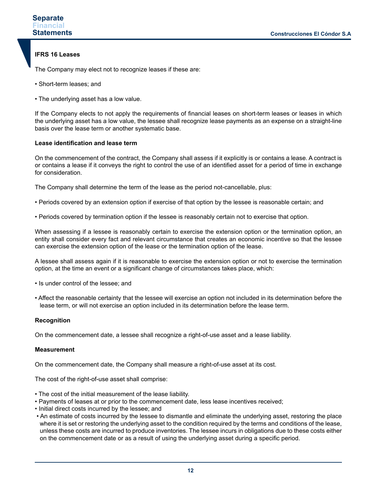### **IFRS 16 Leases**

The Company may elect not to recognize leases if these are:

- Short-term leases; and
- The underlying asset has a low value.

If the Company elects to not apply the requirements of financial leases on short-term leases or leases in which the underlying asset has a low value, the lessee shall recognize lease payments as an expense on a straight-line basis over the lease term or another systematic base.

### **Lease identification and lease term**

On the commencement of the contract, the Company shall assess if it explicitly is or contains a lease. A contract is or contains a lease if it conveys the right to control the use of an identified asset for a period of time in exchange for consideration.

The Company shall determine the term of the lease as the period not-cancellable, plus:

- Periods covered by an extension option if exercise of that option by the lessee is reasonable certain; and
- Periods covered by termination option if the lessee is reasonably certain not to exercise that option.

When assessing if a lessee is reasonably certain to exercise the extension option or the termination option, an entity shall consider every fact and relevant circumstance that creates an economic incentive so that the lessee can exercise the extension option of the lease or the termination option of the lease.

A lessee shall assess again if it is reasonable to exercise the extension option or not to exercise the termination option, at the time an event or a significant change of circumstances takes place, which:

- Is under control of the lessee; and
- Affect the reasonable certainty that the lessee will exercise an option not included in its determination before the lease term, or will not exercise an option included in its determination before the lease term.

### **Recognition**

On the commencement date, a lessee shall recognize a right-of-use asset and a lease liability.

### **Measurement**

On the commencement date, the Company shall measure a right-of-use asset at its cost.

The cost of the right-of-use asset shall comprise:

- The cost of the initial measurement of the lease liability.
- Payments of leases at or prior to the commencement date, less lease incentives received;
- Initial direct costs incurred by the lessee; and
- An estimate of costs incurred by the lessee to dismantle and eliminate the underlying asset, restoring the place where it is set or restoring the underlying asset to the condition required by the terms and conditions of the lease, unless these costs are incurred to produce inventories. The lessee incurs in obligations due to these costs either on the commencement date or as a result of using the underlying asset during a specific period.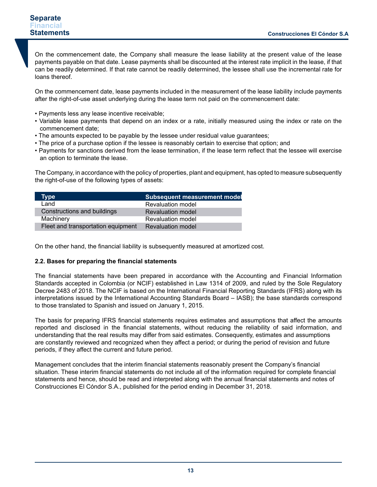On the commencement date, the Company shall measure the lease liability at the present value of the lease payments payable on that date. Lease payments shall be discounted at the interest rate implicit in the lease, if that can be readily determined. If that rate cannot be readily determined, the lessee shall use the incremental rate for loans thereof.

On the commencement date, lease payments included in the measurement of the lease liability include payments after the right-of-use asset underlying during the lease term not paid on the commencement date:

- Payments less any lease incentive receivable;
- Variable lease payments that depend on an index or a rate, initially measured using the index or rate on the commencement date;
- The amounts expected to be payable by the lessee under residual value guarantees;
- The price of a purchase option if the lessee is reasonably certain to exercise that option; and
- Payments for sanctions derived from the lease termination, if the lease term reflect that the lessee will exercise an option to terminate the lease.

The Company, in accordance with the policy of properties, plant and equipment, has opted to measure subsequently the right-of-use of the following types of assets:

| <b>Type</b>                        | <b>Subsequent measurement model</b> |
|------------------------------------|-------------------------------------|
| Land                               | <b>Revaluation model</b>            |
| Constructions and buildings        | <b>Revaluation model</b>            |
| Machinery                          | <b>Revaluation model</b>            |
| Fleet and transportation equipment | <b>Revaluation model</b>            |

On the other hand, the financial liability is subsequently measured at amortized cost.

### **2.2. Bases for preparing the financial statements**

The financial statements have been prepared in accordance with the Accounting and Financial Information Standards accepted in Colombia (or NCIF) established in Law 1314 of 2009, and ruled by the Sole Regulatory Decree 2483 of 2018. The NCIF is based on the International Financial Reporting Standards (IFRS) along with its interpretations issued by the International Accounting Standards Board – IASB); the base standards correspond to those translated to Spanish and issued on January 1, 2015.

The basis for preparing IFRS financial statements requires estimates and assumptions that affect the amounts reported and disclosed in the financial statements, without reducing the reliability of said information, and understanding that the real results may differ from said estimates. Consequently, estimates and assumptions are constantly reviewed and recognized when they affect a period; or during the period of revision and future periods, if they affect the current and future period.

Management concludes that the interim financial statements reasonably present the Company's financial situation. These interim financial statements do not include all of the information required for complete financial statements and hence, should be read and interpreted along with the annual financial statements and notes of Construcciones El Cóndor S.A., published for the period ending in December 31, 2018.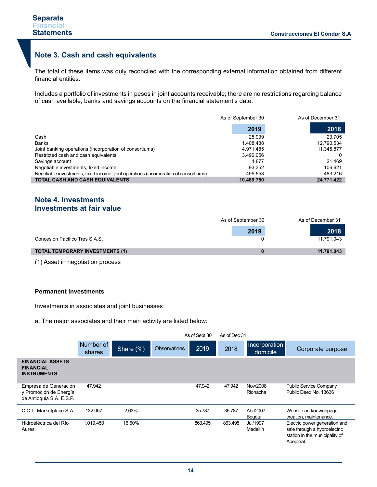# **Note 3. Cash and cash equivalents**

The total of these items was duly reconciled with the corresponding external information obtained from different financial entities.

Includes a portfolio of investments in pesos in joint accounts receivable; there are no restrictions regarding balance of cash available, banks and savings accounts on the financial statement's date.

|                                                                                       | As of September 30 | As of December 31 |
|---------------------------------------------------------------------------------------|--------------------|-------------------|
|                                                                                       | 2019               | 2018              |
| Cash                                                                                  | 25.939             | 23.705            |
| Banks                                                                                 | 1.408.488          | 12.790.534        |
| Joint banking operations (incorporation of consortiums)                               | 4.971.485          | 11.345.877        |
| Restricted cash and cash equivalents                                                  | 3.490.056          |                   |
| Savings account                                                                       | 4.877              | 21.469            |
| Negotiable investments, fixed income                                                  | 93.352             | 106.621           |
| Negotiable investments, fixed income, joint operations (incorporation of consortiums) | 495.553            | 483.216           |
| <b>TOTAL CASH AND CASH EQUIVALENTS</b>                                                | 10.489.750         | 24.771.422        |

# **Note 4. Investments Investments at fair value**

|                                        | As of September 30 | As of December 31 |
|----------------------------------------|--------------------|-------------------|
|                                        | 2019               | 2018              |
| Concesión Pacifico Tres S.A.S.         |                    | 11.791.043        |
| <b>TOTAL TEMPORARY INVESTMENTS (1)</b> |                    | 11.791.043        |

(1) Asset in negotiation process

### **Permanent investments**

Investments in associates and joint businesses

a. The major associates and their main activity are listed below:

|                                                                             | As of Sept 30       |           |                     |         | As of Dec 31 |                           |                                                                                                               |
|-----------------------------------------------------------------------------|---------------------|-----------|---------------------|---------|--------------|---------------------------|---------------------------------------------------------------------------------------------------------------|
|                                                                             | Number of<br>shares | Share (%) | <b>Observations</b> | 2019    | 2018         | Incorporation<br>domicile | Corporate purpose                                                                                             |
| <b>FINANCIAL ASSETS</b><br><b>FINANCIAL</b><br><b>INSTRUMENTS</b>           |                     |           |                     |         |              |                           |                                                                                                               |
| Empresa de Generación<br>y Promoción de Energía<br>de Antioquia S.A. E.S.P. | 47.942              |           |                     | 47.942  | 47.942       | Nov/2008<br>Riohacha      | Public Service Company,<br>Public Deed No. 13636                                                              |
| C.C.I. Marketplace S.A.                                                     | 132.057             | 2,63%     |                     | 35.787  | 35.787       | Abr/2007<br>Bogotá        | Website and/or webpage<br>creation, maintenance.                                                              |
| Hidroeléctrica del Río<br>Aures                                             | 1.019.450           | 16.60%    |                     | 863.495 | 863.495      | Jul/1997<br>Medellín      | Electric power generation and<br>sale through a hydroelectric<br>station in the municipality of<br>Abejorral. |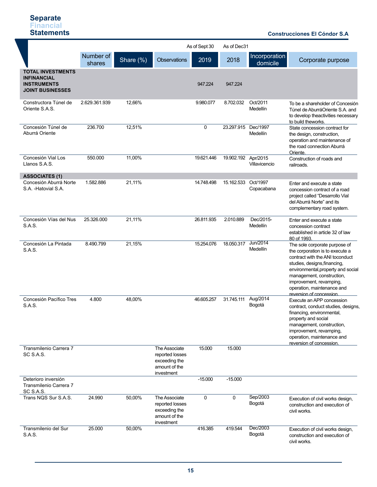### **Construcciones El Cóndor S.A .**

|                                                                                                 |                     |           |                                                                                  | As of Sept 30 | As of Dec31 |                           |                                                                                                                                                                                                                                                                                             |
|-------------------------------------------------------------------------------------------------|---------------------|-----------|----------------------------------------------------------------------------------|---------------|-------------|---------------------------|---------------------------------------------------------------------------------------------------------------------------------------------------------------------------------------------------------------------------------------------------------------------------------------------|
|                                                                                                 | Number of<br>shares | Share (%) | <b>Observations</b>                                                              | 2019          | 2018        | Incorporation<br>domicile | Corporate purpose                                                                                                                                                                                                                                                                           |
| <b>TOTAL INVESTMENTS</b><br><b>INFINANCIAL</b><br><b>INSTRUMENTS</b><br><b>JOINT BUSINESSES</b> |                     |           |                                                                                  | 947.224       | 947.224     |                           |                                                                                                                                                                                                                                                                                             |
| Constructora Túnel de<br>Oriente S.A.S.                                                         | 2.629.361.939       | 12,66%    |                                                                                  | 9.980.077     | 8.702.032   | Oct/2011<br>Medellín      | To be a shareholder of Concesión<br>Túnel de AburráOriente S.A. and<br>to develop theactivities necessary<br>to build theworks.                                                                                                                                                             |
| Concesión Túnel de<br>Aburrá Oriente                                                            | 236.700             | 12,51%    |                                                                                  | 0             | 23.297.915  | Dec/1997<br>Medellín      | State concession contract for<br>the design, construction,<br>operation and maintenance of<br>the road connection Aburrá<br>Oriente.                                                                                                                                                        |
| Concesión Vial Los<br>Llanos S.A.S.<br><b>ASSOCIATES (1)</b>                                    | 550.000             | 11,00%    |                                                                                  | 19.621.446    | 19.902.192  | Apr/2015<br>Villavicencio | Construction of roads and<br>railroads.                                                                                                                                                                                                                                                     |
| Concesión Aburrá Norte<br>S.A. -Hatovial S.A.                                                   | 1.582.886           | 21,11%    |                                                                                  | 14.748.498    | 15.162.533  | Oct/1997<br>Copacabana    | Enter and execute a state<br>concession contract of a road<br>project called "Desarrollo Vial<br>del Aburrá Norte" and its<br>complementary road system.                                                                                                                                    |
| Concesión Vías del Nus<br>S.A.S.                                                                | 25.326.000          | 21,11%    |                                                                                  | 26.811.935    | 2.010.889   | Dec/2015-<br>Medellín     | Enter and execute a state<br>concession contract<br>established in article 32 of law<br>80 of 1993.                                                                                                                                                                                         |
| Concesión La Pintada<br>S.A.S.                                                                  | 8.490.799           | 21,15%    |                                                                                  | 15.254.076    | 18.050.317  | Jun/2014<br>Medellín      | The sole corporate purpose of<br>the corporation is to execute a<br>contract with the ANI toconduct<br>studies, designs, financing,<br>environmental, property and social<br>management, construction,<br>improvement, revamping,<br>operation, maintenance and<br>reversion of concession. |
| Concesión Pacífico Tres<br>S.A.S.                                                               | 4.800               | 48,00%    |                                                                                  | 46.605.257    | 31.745.111  | Aug/2014<br>Bogotá        | Execute an APP concession<br>contract, conduct studies, designs,<br>financing, environmental,<br>property and social<br>management, construction,<br>improvement, revamping,<br>operation, maintenance and<br>reversion of concession.                                                      |
| Transmilenio Carrera 7<br>SC S.A.S.                                                             |                     |           | The Associate<br>reported losses<br>exceeding the<br>amount of the<br>investment | 15.000        | 15.000      |                           |                                                                                                                                                                                                                                                                                             |
| Deterioro inversión<br>Transmilenio Carrera 7<br>SC S.A.S.                                      |                     |           |                                                                                  | $-15.000$     | $-15.000$   |                           |                                                                                                                                                                                                                                                                                             |
| Trans NQS Sur S.A.S.                                                                            | 24.990              | 50,00%    | The Associate<br>reported losses<br>exceeding the<br>amount of the<br>investment | 0             | $\mathbf 0$ | Sep/2003<br>Bogotá        | Execution of civil works design,<br>construction and execution of<br>civil works.                                                                                                                                                                                                           |
| Transmilenio del Sur<br>S.A.S.                                                                  | 25.000              | 50,00%    |                                                                                  | 416.385       | 419.544     | Dec/2003<br>Bogotá        | Execution of civil works design,<br>construction and execution of<br>civil works.                                                                                                                                                                                                           |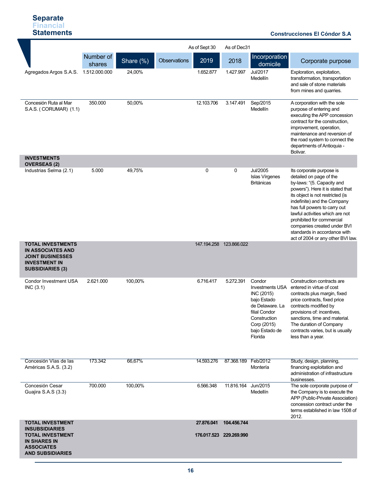### **Construcciones El Cóndor S.A .**

|                                                                                                                                    |                     |           |              | As of Sept 30 | As of Dec31             |                                                                                                                                                               |                                                                                                                                                                                                                                                                                                                                                                                              |
|------------------------------------------------------------------------------------------------------------------------------------|---------------------|-----------|--------------|---------------|-------------------------|---------------------------------------------------------------------------------------------------------------------------------------------------------------|----------------------------------------------------------------------------------------------------------------------------------------------------------------------------------------------------------------------------------------------------------------------------------------------------------------------------------------------------------------------------------------------|
|                                                                                                                                    | Number of<br>shares | Share (%) | Observations | 2019          | 2018                    | Incorporation<br>domicile                                                                                                                                     | Corporate purpose                                                                                                                                                                                                                                                                                                                                                                            |
| Agregados Argos S.A.S. 1.512.000.000                                                                                               |                     | 24,00%    |              | 1.652.877     | 1.427.997               | Jul/2017<br>Medellín                                                                                                                                          | Exploration, exploitation,<br>transformation, transportation<br>and sale of stone materials<br>from mines and quarries.                                                                                                                                                                                                                                                                      |
| Concesión Ruta al Mar<br>S.A.S. (CORUMAR) (1.1)                                                                                    | 350.000             | 50,00%    |              | 12.103.706    | 3.147.491               | Sep/2015<br>Medellín                                                                                                                                          | A corporation with the sole<br>purpose of entering and<br>executing the APP concession<br>contract for the construction,<br>improvement, operation,<br>maintenance and reversion of<br>the road system to connect the<br>departments of Antioquia -<br>Bolivar.                                                                                                                              |
| <b>INVESTMENTS</b><br><b>OVERSEAS (2)</b>                                                                                          |                     |           |              |               |                         |                                                                                                                                                               |                                                                                                                                                                                                                                                                                                                                                                                              |
| Industrias Selma (2.1)                                                                                                             | 5.000               | 49,75%    |              | 0             | 0                       | <b>Jul/2005</b><br>Islas Vírgenes<br><b>Británicas</b>                                                                                                        | Its corporate purpose is<br>detailed on page of the<br>by-laws: "(5. Capacity and<br>powers"). Here it is stated that<br>its object is not restricted (is<br>indefinite) and the Company<br>has full powers to carry out<br>lawful activities which are not<br>prohibited for commercial<br>companies created under BVI<br>standards in accordance with<br>act of 2004 or any other BVI law. |
| <b>TOTAL INVESTMENTS</b><br><b>IN ASSOCIATES AND</b><br><b>JOINT BUSINESSES</b><br><b>INVESTMENT IN</b><br><b>SUBSIDIARIES (3)</b> |                     |           |              |               | 147.194.258 123.866.022 |                                                                                                                                                               |                                                                                                                                                                                                                                                                                                                                                                                              |
| <b>Condor Investment USA</b><br>INC (3.1)                                                                                          | 2.621.000           | 100,00%   |              | 6.716.417     | 5.272.391               | Condor<br><b>Investments USA</b><br>INC (2015)<br>bajo Estado<br>de Delaware. La<br>filial Condor<br>Construction<br>Corp (2015)<br>bajo Estado de<br>Florida | Construction contracts are<br>entered in virtue of cost<br>contracts plus margin, fixed<br>price contracts, fixed price<br>contracts modified by<br>provisions of: incentives,<br>sanctions, time and material.<br>The duration of Company<br>contracts varies, but is usually<br>less than a year.                                                                                          |
| Concesión Vías de las<br>Américas S.A.S. (3.2)                                                                                     | 173.342             | 66,67%    |              | 14.593.276    | 87.368.189 Feb/2012     | Montería                                                                                                                                                      | Study, design, planning,<br>financing exploitation and<br>administration of infrastructure<br>businesses.                                                                                                                                                                                                                                                                                    |
| Concesión Cesar<br>Guajira S.A.S (3.3)                                                                                             | 700.000             | 100,00%   |              | 6.566.348     | 11.816.164              | Jun/2015<br>Medellín                                                                                                                                          | The sole corporate purpose of<br>the Company is to execute the<br>APP (Public-Private Association)<br>concession contract under the<br>terms established in law 1508 of<br>2012.                                                                                                                                                                                                             |
| <b>TOTAL INVESTMENT</b><br><b>INSUBSIDIARIES</b>                                                                                   |                     |           |              | 27.876.041    | 104.456.744             |                                                                                                                                                               |                                                                                                                                                                                                                                                                                                                                                                                              |
| <b>TOTAL INVESTMENT</b><br><b>IN SHARES IN</b><br><b>ASSOCIATES</b><br><b>AND SUBSIDIARIES</b>                                     |                     |           |              |               | 176.017.523 229.269.990 |                                                                                                                                                               |                                                                                                                                                                                                                                                                                                                                                                                              |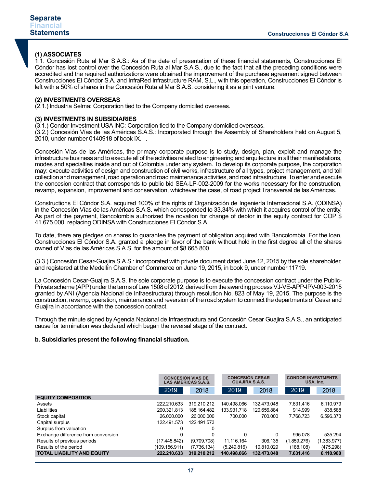### **(1) ASSOCIATES**

1.1. Concesión Ruta al Mar S.A.S.: As of the date of presentation of these financial statements, Construcciones El Cóndor has lost control over the Concesión Ruta al Mar S.A.S., due to the fact that all the preceding conditions were accredited and the required authorizations were obtained the improvement of the purchase agreement signed between Construcciones El Cóndor S.A. and InfraRed Infrastructure RAM, S.L., with this operation, Construcciones El Cóndor is left with a 50% of shares in the Concesión Ruta al Mar S.A.S. considering it as a joint venture.

### **(2) INVESTMENTS OVERSEAS**

(2.1.) lndustria Selma: Corporation tied to the Company domiciled overseas.

### **(3) INVESTMENTS IN SUBSIDIARIES**

(3.1.) Condor Investment USA INC: Corporation tied to the Company domiciled overseas.

(3.2.) Concesión Vías de las Américas S.A.S.: Incorporated through the Assembly of Shareholders held on August 5, 2010, under number 0140918 of book IX. .

Concesión Vías de las Américas, the primary corporate purpose is to study, design, plan, exploit and manage the infrastructure business and to execute all of the activities related to engineering and arquitecture in all their manifestations, modes and specialties inside and out of Colombia under any system. To develop its corporate purpose, the corporation may: execute activities of design and construction of civil works, infrastructure of all types, project management, and toll collection and management, road operation and road maintenance activities, and road infrastructure. To enter and execute the concesion contract that corresponds to public bid SEA-LP-002-2009 for the works necessary for the construction, revamp, expansion, improvement and conservation, whichever the case, of road project Transversal de las Américas.

Constructions El Cóndor S.A. acquired 100% of the rights of Organización de Ingeniería Internacional S.A. (ODINSA) in the Concesión Vías de las Américas S.A.S. which corresponded to 33,34% with which it acquires control of the entity. As part of the payment, Bancolombia authorized the novation for change of debtor in the equity contract for COP \$ 41.675.000, replacing ODINSA with Construcciones El Cóndor S.A.

To date, there are pledges on shares to guarantee the payment of obligation acquired with Bancolombia. For the loan, Construcciones El Cóndor S.A. granted a pledge in favor of the bank without hold in the first degree all of the shares owned of Vías de las Américas S.A.S. for the amount of \$8.665.800.

(3.3.) Concesión Cesar-Guajira S.A.S.: incorporated with private document dated June 12, 2015 by the sole shareholder, and registered at the Medellín Chamber of Commerce on June 19, 2015, in book 9, under number 11719.

La Concesión Cesar-Guajira S.A.S. the sole corporate purpose is to execute the concession contract under the Public-Private scheme (APP) under the terms of Law 1508 of 2012, derived from the awarding process VJ-VE-APP-IPV-003-2015 granted by ANI (Agencia Nacional de Infraestructura) through resolution No. 823 of May 19, 2015. The purpose is the construction, revamp, operation, maintenance and reversion of the road system to connect the departments of Cesar and Guajira in accordance with the concession contract.

Through the minute signed by Agencia Nacional de Infraestructura and Concesión Cesar Guajira S.A.S., an anticipated cause for termination was declared which began the reversal stage of the contract.

### **b. Subsidiaries present the following financial situation.**

|                                     | <b>CONCESIÓN VÍAS DE</b><br><b>LAS AMÉRICAS S.A.S.</b> |             | <b>CONCESIÓN CESAR</b><br><b>GUAJIRA S.A.S.</b> |             | <b>CONDOR INVESTMENTS</b><br>USA, Inc. |             |
|-------------------------------------|--------------------------------------------------------|-------------|-------------------------------------------------|-------------|----------------------------------------|-------------|
|                                     | 2019                                                   | 2018        | 2019                                            | 2018        | 2019                                   | 2018        |
| <b>EQUITY COMPOSITION</b>           |                                                        |             |                                                 |             |                                        |             |
| Assets                              | 222.210.633                                            | 319.210.212 | 140.498.066                                     | 132.473.048 | 7.631.416                              | 6.110.979   |
| Liabilities                         | 200.321.813                                            | 188.164.482 | 133.931.718                                     | 120.656.884 | 914.999                                | 838.588     |
| Stock capital                       | 26,000,000                                             | 26,000,000  | 700.000                                         | 700.000     | 7.768.723                              | 6.596.373   |
| Capital surplus                     | 122.491.573                                            | 122.491.573 |                                                 |             |                                        |             |
| Surplus from valuation              | 0                                                      | 0           |                                                 |             |                                        |             |
| Exchange difference from conversion | 0                                                      | 0           | $\Omega$                                        | 0           | 995.078                                | 535.294     |
| Results of previous periods         | (17.445.842)                                           | (9.709.708) | 11.116.164                                      | 306.135     | (1.859.276)                            | (1.383.977) |
| Results of the period               | (109.156.911)                                          | (7.736.134) | (5.249.816)                                     | 10.810.029  | (188.108)                              | (475.298)   |
| <b>TOTAL LIABILITY AND EQUITY</b>   | 222.210.633                                            | 319.210.212 | 140.498.066                                     | 132.473.048 | 7.631.416                              | 6.110.980   |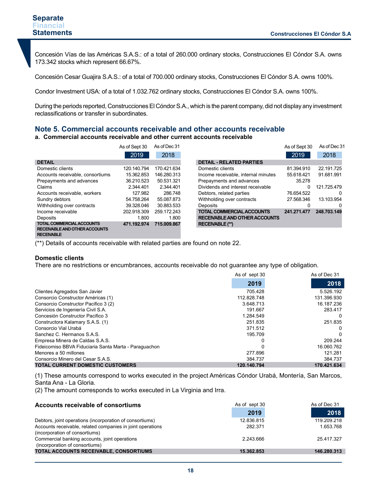Concesión Vías de las Américas S.A.S.: of a total of 260.000 ordinary stocks, Construcciones El Cóndor S.A. owns 173.342 stocks which represent 66.67%.

Concesión Cesar Guajira S.A.S.: of a total of 700.000 ordinary stocks, Construcciones El Cóndor S.A. owns 100%.

Condor Investment USA: of a total of 1.032.762 ordinary stocks, Construcciones El Cóndor S.A. owns 100%.

During the periods reported, Construcciones El Cóndor S.A., which is the parent company, did not display any investment reclassifications or transfer in subordinates.

# **Note 5. Commercial accounts receivable and other accounts receivable**

### **a. Commercial accounts receivable and other current accounts receivable**

|                                      | As of Sept 30 | As of Dec 31 |                                      | As of Sept 30 | As of Dec 31 |
|--------------------------------------|---------------|--------------|--------------------------------------|---------------|--------------|
|                                      | 2019          | 2018         |                                      | 2019          | 2018         |
| <b>DETAIL</b>                        |               |              | <b>DETAIL - RELATED PARTIES</b>      |               |              |
| Domestic clients                     | 120.140.794   | 170.421.634  | Domestic clients                     | 81.394.910    | 22.191.725   |
| Accounts receivable, consortiums     | 15.362.853    | 146.280.313  | Income receivable, internal minutes  | 55.618.421    | 91.681.991   |
| Prepayments and advances             | 36.210.523    | 50.531.321   | Prepayments and advances             | 35.278        |              |
| Claims                               | 2.344.401     | 2.344.401    | Dividends and interest receivable    | 0             | 121.725.479  |
| Accounts receivable, workers         | 127.982       | 286.748      | Debtors, related parties             | 76.654.522    | 0            |
| Sundry debtors                       | 54.758.264    | 55.087.873   | Withholding over contracts           | 27.568.346    | 13.103.954   |
| Withholding over contracts           | 39.328.046    | 30.883.533   | <b>Deposits</b>                      | 0             |              |
| Income receivable                    | 202.918.309   | 259.172.243  | <b>TOTAL COMMERCIAL ACCOUNTS</b>     | 241.271.477   | 248.703.149  |
| Deposits                             | 1.800         | 1.800        | <b>RECEIVABLE AND OTHER ACCOUNTS</b> |               |              |
| <b>TOTAL COMMERCIAL ACCOUNTS</b>     | 471.192.974   | 715.009.867  | <b>RECEIVABLE (**)</b>               |               |              |
| <b>RECEIVABLE AND OTHER ACCOUNTS</b> |               |              |                                      |               |              |
| <b>RECEIVABLE</b>                    |               |              |                                      |               |              |

(\*\*) Details of accounts receivable with related parties are found on note 22.

### **Domestic clients**

There are no restrictions or encumbrances, accounts receivable do not guarantee any type of obligation.

|                                                       | As of sept 30 | As of Dec 31 |
|-------------------------------------------------------|---------------|--------------|
|                                                       | 2019          | 2018         |
| Clientes Agregados San Javier                         | 705.428       | 5.526.192    |
| Consorcio Constructor Américas (1)                    | 112.828.748   | 131.396.930  |
| Consorcio Constructor Pacifico 3 (2)                  | 3.648.713     | 16.187.236   |
| Servicios de Ingeniería Civil S.A.                    | 191.667       | 283.417      |
| Concesión Constructor Pacifico 3                      | 1.284.549     | $\Omega$     |
| Constructora Kalamary S.A.S. (1)                      | 251.835       | 251.835      |
| Consorcio Vial Urabá                                  | 371.512       | 0            |
| Sanchez C. Hermanos S.A.S.                            | 195.709       | 0            |
| Empresa Minera de Caldas S.A.S.                       |               | 209.244      |
| Fideicomiso BBVA Fiduciaria Santa Marta - Paraguachon |               | 16.060.762   |
| Menores a 50 millones                                 | 277.896       | 121.281      |
| Consorcio Minero del Cesar S.A.S.                     | 384.737       | 384.737      |
| <b>TOTAL CURRENT DOMESTIC CUSTOMERS</b>               | 120.140.794   | 170.421.634  |

(1) These amounts correspond to works executed in the project Américas Cóndor Urabá, Montería, San Marcos, Santa Ana - La Gloria.

(2) The amount corresponds to works executed in La Virginia and Irra.

| Accounts receivable of consortiums                         | As of sept 30 | As of Dec 31 |
|------------------------------------------------------------|---------------|--------------|
|                                                            | 2019          | 2018         |
| Debtors, joint operations (incorporation of consortiums)   | 12.836.815    | 119.209.218  |
| Accounts receivable, related companies in joint operations | 282.371       | 1.653.768    |
| (incorporation of consortiums)                             |               |              |
| Commercial banking accounts, joint operations              | 2.243.666     | 25.417.327   |
| (incorporation of consortiums)                             |               |              |
| TOTAL ACCOUNTS RECEIVABLE, CONSORTIUMS                     | 15.362.853    | 146.280.313  |
|                                                            |               |              |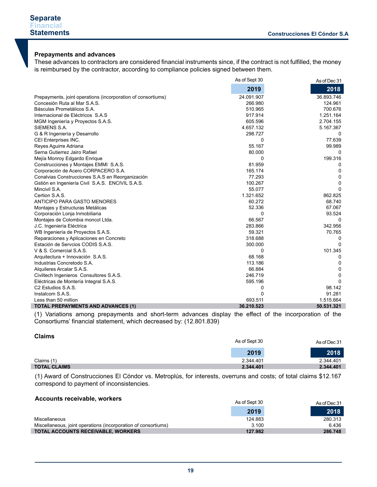# **Prepayments and advances**

These advances to contractors are considered financial instruments since, if the contract is not fulfilled, the money is reimbursed by the contractor, according to compliance policies signed between them.

|                                                              | As of Sept 30 | As of Dec 31 |
|--------------------------------------------------------------|---------------|--------------|
|                                                              | 2019          | 2018         |
| Prepayments, joint operations (incorporation of consortiums) | 24.091.907    | 36.893.746   |
| Concesión Ruta al Mar S.A.S.                                 | 266.980       | 124.961      |
| Básculas Prometálicos S.A.                                   | 510.965       | 700.676      |
| Internacional de Eléctricos S.A.S                            | 917.914       | 1.251.164    |
| MGM Ingeniería y Proyectos S.A.S.                            | 605.596       | 2.704.155    |
| SIEMENS S.A.                                                 | 4.657.132     | 5.167.367    |
| G & R Ingeniería y Desarrollo                                | 298.727       | 0            |
| CEI Enterprises INC.                                         | 0             | 77.639       |
| Reyes Aguirre Adriana                                        | 55.167        | 99.989       |
| Serna Gutierrez Jairo Rafael                                 | 80.000        | 0            |
| Mejía Monroy Edgardo Enrique                                 | 0             | 199.316      |
| Construcciones y Montajes EMMI S.A.S.                        | 81.959        | 0            |
| Corporación de Acero CORPACERO S.A.                          | 165.174       | 0            |
| Conalvias Construcciones S.A.S en Reorganización             | 77.293        | 0            |
| Gstión en Ingeniería Civil S.A.S. ENCIVIL S.A.S.             | 100.267       | 0            |
| Mincivil S.A.                                                | 55.077        | 0            |
| Certion S.A.S.                                               | 1.321.652     | 862.825      |
| ANTICIPO PARA GASTO MENORES                                  | 60.272        | 68.740       |
| Montajes y Estructuras Metálicas                             | 52.336        | 67.067       |
| Corporación Lonja Inmobiliaria                               | $\Omega$      | 93.524       |
| Montajes de Colombia moncol Ltda.                            | 66.567        | 0            |
| J.C. Ingeniería Eléctrica                                    | 283.866       | 342.956      |
| WB Ingeniería de Proyectos S.A.S.                            | 59.321        | 70.765       |
| Reparaciones y Aplicaciones en Concreto                      | 318.688       | 0            |
| Estación de Servoios CODIS S.A.S.                            | 300.000       | 0            |
| V & S. Comercial S.A.S.                                      | 0             | 101.345      |
| Arquitectura + Innovación S.A.S.                             | 68.168        | 0            |
| Industrias Concretodo S.A.                                   | 113.186       | 0            |
| Alquileres Arcalar S.A.S.                                    | 66.884        | 0            |
| Civiltech Ingenieros Consultores S.A.S.                      | 246.719       | 0            |
| Eléctricas de Montería Integral S.A.S.                       | 595.196       | 0            |
| C <sub>2</sub> Estudios S.A.S.                               | 0             | 98.142       |
| Instalcom S.A.S.                                             | 0             | 91.281       |
| Less than 50 million                                         | 693.511       | 1.515.664    |
| <b>TOTAL PREPAYMENTS AND ADVANCES (1)</b>                    | 36.210.523    | 50.531.321   |

(1) Variations among prepayments and short-term advances display the effect of the incorporation of the Consortiums' financial statement, which decreased by: (12.801.839)

| Vialilis            | As of Sept 30 | As of Dec 31 |
|---------------------|---------------|--------------|
|                     | 2019          | 2018         |
| Claims (1)          | 2.344.401     | 2.344.401    |
| <b>TOTAL CLAIMS</b> | 2.344.401     | 2.344.401    |

(1) Award of Construcciones El Cóndor vs. Metroplús, for interests, overruns and costs; of total claims \$12.167 correspond to payment of inconsistencies.

#### **Accounts receivable, workers**

| ACCOUNTS receivable, workers                                   | As of Sept 30 | As of Dec 31 |
|----------------------------------------------------------------|---------------|--------------|
|                                                                | 2019          | 2018         |
| Miscellaneous                                                  | 124.883       | 280.313      |
| Miscellaneous, joint operations (incorporation of consortiums) | 3.100         | 6.436        |
| <b>TOTAL ACCOUNTS RECEIVABLE, WORKERS</b>                      | 127.982       | 286.748      |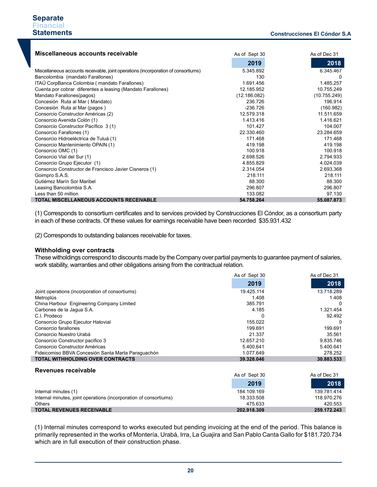| Miscellaneous accounts receivable                                                  | As of Sept 30 | As of Dec 31 |
|------------------------------------------------------------------------------------|---------------|--------------|
|                                                                                    | 2019          | 2018         |
| Miscellaneous accounts receivable, joint operations (incorporation of consortiums) | 5.345.892     | 6.345.467    |
| Bancolombia (mandato Farallones)                                                   | 130           | 0            |
| ITAÚ CorpBanca Colombia (mandato Farallones)                                       | 1.691.456     | 1.485.257    |
| Cuenta por cobrar diferentes a leasing (Mandato Farallones)                        | 12.185.952    | 10.755.249   |
| Mandato Farallones(pagos)                                                          | (12.186.082)  | (10.755.249) |
| Concesión Ruta al Mar (Mandato)                                                    | 236.726       | 196.914      |
| Concesión Ruta al Mar (pagos)                                                      | $-236.726$    | (160.982)    |
| Consorcio Constructor Américas (2)                                                 | 12.579.318    | 11.511.659   |
| Consorcio Avenida Colón (1)                                                        | 1.413.416     | 1.416.621    |
| Consorcio Constructor Pacífico 3 (1)                                               | 101.427       | 104.007      |
| Consorcio Farallones (1)                                                           | 22.330.460    | 23.284.659   |
| Consorcio Hidroeléctrica de Tuluá (1)                                              | 171.468       | 171.468      |
| Consorcio Mantenimiento OPAIN (1)                                                  | 419.198       | 419.198      |
| Consorcio OMC (1)                                                                  | 100.918       | 100.918      |
| Consorcio Vial del Sur (1)                                                         | 2.698.526     | 2.794.933    |
| Consorcio Grupo Ejecutor (1)                                                       | 4.855.829     | 4.024.039    |
| Consorcio Constructor de Francisco Javier Cisneros (1)                             | 2.314.054     | 2.693.368    |
| Goimpro S.A.S.                                                                     | 218.111       | 218.111      |
| Gutiérrez Marín Sor Maribel                                                        | 88.300        | 88.300       |
| Leasing Bancolombia S.A.                                                           | 296.807       | 296.807      |
| Less than 50 million                                                               | 133.082       | 97.130       |
| <b>TOTAL MISCELLANEOUS ACCOUNTS RECEIVABLE</b>                                     | 54.758.264    | 55.087.873   |

(1) Corresponds to consortium certificates and to services provided by Construcciones El Cóndor, as a consortium party in each of these contracts. Of these values for earnings receivable have been recorded \$35.931.432

(2) Corresponds to outstanding balances receivable for taxes.

### **Withholding over contracts**

These witholdings correspond to discounts made by the Company over partial payments to guarantee payment of salaries, work stability, warranties and other obligations arising from the contractual relation.

|                                                                   | As of Sept 30 | As of Dec 31 |
|-------------------------------------------------------------------|---------------|--------------|
|                                                                   | 2019          | 2018         |
| Joint operations (incorporation of consortiums)                   | 19.425.114    | 13.718.289   |
| Metroplús                                                         | 1.408         | 1.408        |
| China Harbour Engineering Company Limited                         | 385.791       | $\Omega$     |
| Carbones de la Jaqua S.A.                                         | 4.185         | 1.321.454    |
| C.I. Prodeco                                                      | 0             | 92.492       |
| Consorcio Grupo Ejecutor Hatovial                                 | 155.022       | $\Omega$     |
| Consorcio farallones                                              | 199.691       | 199.691      |
| Consorcio Nuestro Urabá                                           | 21.337        | 35.561       |
| Consorcio Constructor pacifico 3                                  | 12.657.210    | 9.835.746    |
| Consorcio Constructor Américas                                    | 5.400.641     | 5.400.641    |
| Fideicomiso BBVA Concesión Santa Marta Paraguachón                | 1.077.649     | 278.252      |
| <b>TOTAL WITHHOLDING OVER CONTRACTS</b>                           | 39.328.046    | 30.883.533   |
|                                                                   |               |              |
| Revenues receivable                                               | As of Sept 30 | As of Dec 31 |
|                                                                   | 2019          | 2018         |
| Internal minutes (1)                                              | 184.109.169   | 139.781.414  |
| Internal minutes, joint operations (incorporation of consortiums) | 18.333.508    | 118.970.276  |
| <b>Others</b>                                                     | 475.633       | 420.553      |
| <b>TOTAL REVENUES RECEIVABLE</b>                                  | 202.918.309   | 259.172.243  |

(1) Internal minutes correspond to works executed but pending invoicing at the end of the period. This balance is primarily represented in the works of Montería, Urabá, Irra, La Guajira and San Pablo Canta Gallo for \$181.720.734 which are in full execution of their construction phase.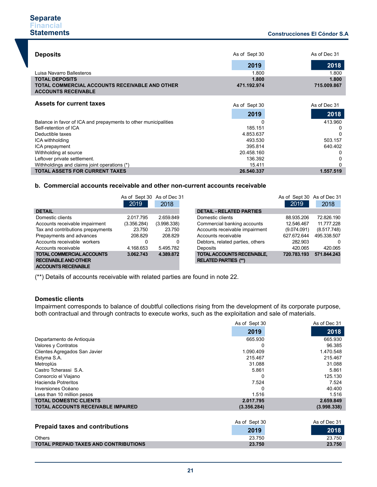| <b>Deposits</b>                                                              | As of Sept 30 | As of Dec 31 |
|------------------------------------------------------------------------------|---------------|--------------|
|                                                                              | 2019          | 2018         |
| Luisa Navarro Ballesteros                                                    | 1.800         | 1.800        |
| <b>TOTAL DEPOSITS</b>                                                        | 1.800         | 1.800        |
| TOTAL COMMERCIAL ACCOUNTS RECEIVABLE AND OTHER<br><b>ACCOUNTS RECEIVABLE</b> | 471.192.974   | 715.009.867  |
|                                                                              |               |              |
| <b>Assets for current taxes</b>                                              | As of Sept 30 | As of Dec 31 |
|                                                                              | 2019          | 2018         |
| Balance in favor of ICA and prepayments to other municipalities              |               | 413.960      |
| Self-retention of ICA                                                        | 185.151       | 0            |
| Deductible taxes                                                             | 4.853.637     | $\Omega$     |
| ICA withholding                                                              | 493.530       | 503.157      |
| ICA prepayment                                                               | 395.814       | 640.402      |
| Withholding at source                                                        | 20.458.160    | 0            |
| Leftover private settlement.                                                 | 136.392       | 0            |
| Withholdings and claims joint operations (*)                                 | 15.411        | 0            |
| <b>TOTAL ASSETS FOR CURRENT TAXES</b>                                        | 26.540.337    | 1.557.519    |

#### **b. Commercial accounts receivable and other non-current accounts receivable**

|                                   | As of Sept 30 As of Dec 31 |             |                |
|-----------------------------------|----------------------------|-------------|----------------|
|                                   | 2019                       | 2018        |                |
| <b>DETAIL</b>                     |                            |             | <b>DETAIL</b>  |
| Domestic clients                  | 2.017.795                  | 2.659.849   | <b>Domesti</b> |
| Accounts receivable impairment    | (3.356.284)                | (3.998.338) | Commer         |
| Tax and contributions prepayments | 23.750                     | 23.750      | Accounts       |
| Prepayments and advances          | 208.829                    | 208.829     | Accounts       |
| Accounts receivable workers       | 0                          | 0           | Debtors.       |
| Accounts receivable               | 4.168.653                  | 5.495.782   | Deposits       |
| <b>TOTAL COMMERCIAL ACCOUNTS</b>  | 3.062.743                  | 4.389.872   | <b>TOTAL A</b> |
| <b>RECEIVABLE AND OTHER</b>       |                            |             | <b>RELATED</b> |
| <b>ACCOUNTS RECEIVABLE</b>        |                            |             |                |

| of Sept 30 As of Dec 31 |             |                                                           |             | As of Sept 30 As of Dec 31 |
|-------------------------|-------------|-----------------------------------------------------------|-------------|----------------------------|
| 2019                    | 2018        |                                                           | 2019        | 2018                       |
|                         |             | <b>DETAIL - RELATED PARTIES</b>                           |             |                            |
| : 017.795               | 2.659.849   | Domestic clients                                          | 88.935.206  | 72.826.190                 |
| 356.284)                | (3.998.338) | Commercial banking accounts                               | 12.546.467  | 11.777.228                 |
| 23.750                  | 23.750      | Accounts receivable impairment                            | (9.074.091) | (8.517.748)                |
| 208.829                 | 208.829     | Accounts receivable                                       | 627.672.644 | 495.338.507                |
|                         | 0           | Debtors, related parties, others                          | 282.903     |                            |
| .168.653                | 5.495.782   | Deposits                                                  | 420.065     | 420.065                    |
| .062.743                | 4.389.872   | TOTAL ACCOUNTS RECEIVABLE,<br><b>RELATED PARTIES (**)</b> | 720.783.193 | 571.844.243                |

(\*\*) Details of accounts receivable with related parties are found in note 22.

### **Domestic clients**

Impairment corresponds to balance of doubtful collections rising from the development of its corporate purpose, both contractual and through contracts to execute works, such as the exploitation and sale of materials.

|                                              | As of Sept 30 | As of Dec 31 |
|----------------------------------------------|---------------|--------------|
|                                              | 2019          | 2018         |
| Departamento de Antioquia                    | 665.930       | 665.930      |
| Valores y Contratos                          | 0             | 96.385       |
| Clientes Agregados San Javier                | 1.090.409     | 1.470.548    |
| Estyma S.A.                                  | 215.467       | 215.467      |
| Metroplús                                    | 31.088        | 31.088       |
| Castro Tcherassi S.A.                        | 5.861         | 5.861        |
| Consorcio el Viajano                         | $\Omega$      | 125.130      |
| Hacienda Potreritos                          | 7.524         | 7.524        |
| Inversiones Océano                           |               | 40.400       |
| Less than 10 million pesos                   | 1.516         | 1.516        |
| <b>TOTAL DOMESTIC CLIENTS</b>                | 2.017.795     | 2.659.849    |
| <b>TOTAL ACCOUNTS RECEIVABLE IMPAIRED</b>    | (3.356.284)   | (3.998.338)  |
|                                              |               |              |
|                                              | As of Sept 30 | As of Dec 31 |
| <b>Prepaid taxes and contributions</b>       | 2019          | 2018         |
| <b>Others</b>                                | 23.750        | 23.750       |
| <b>TOTAL PREPAID TAXES AND CONTRIBUTIONS</b> | 23.750        | 23.750       |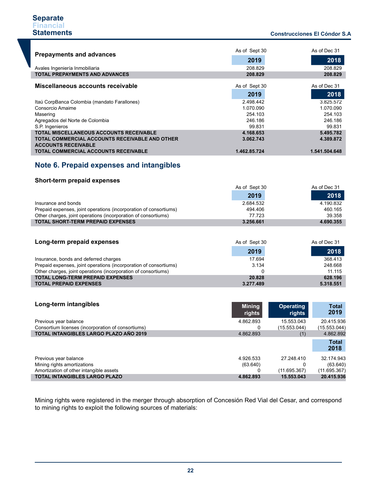### **Construcciones El Cóndor S.A .**

| <b>Prepayments and advances</b>                                                     | As of Sept 30 | As of Dec 31  |
|-------------------------------------------------------------------------------------|---------------|---------------|
|                                                                                     | 2019          | 2018          |
| Avales Ingeniería Inmobiliaria                                                      | 208.829       | 208.829       |
| <b>TOTAL PREPAYMENTS AND ADVANCES</b>                                               | 208.829       | 208.829       |
| Miscellaneous accounts receivable                                                   | As of Sept 30 | As of Dec 31  |
|                                                                                     | 2019          | 2018          |
| Itaú CorpBanca Colombia (mandato Farallones)                                        | 2.498.442     | 3.825.572     |
| Consorcio Amaime                                                                    | 1.070.090     | 1.070.090     |
| Masering                                                                            | 254.103       | 254.103       |
| Agregados del Norte de Colombia                                                     | 246.186       | 246.186       |
| S.P. Ingenieros                                                                     | 99.831        | 99.831        |
| <b>TOTAL MISCELLANEOUS ACCOUNTS RECEIVABLE</b>                                      | 4.168.653     | 5.495.782     |
| <b>TOTAL COMMERCIAL ACCOUNTS RECEIVABLE AND OTHER</b><br><b>ACCOUNTS RECEIVABLE</b> | 3.062.743     | 4.389.872     |
| <b>TOTAL COMMERCIAL ACCOUNTS RECEIVABLE</b>                                         | 1.462.85.724  | 1.541.504.648 |

# **Note 6. Prepaid expenses and intangibles**

### **Short-term prepaid expenses**

I

|                                                                   | As of Sept 30 | As of Dec 31 |
|-------------------------------------------------------------------|---------------|--------------|
|                                                                   | 2019          | 2018         |
| Insurance and bonds                                               | 2.684.532     | 4.190.832    |
| Prepaid expenses, joint operations (incorporation of consortiums) | 494.406       | 460.165      |
| Other charges, joint operations (incorporation of consortiums)    | 77.723        | 39.358       |
| <b>TOTAL SHORT-TERM PREPAID EXPENSES</b>                          | 3.256.661     | 4.690.355    |

| Long-term prepaid expenses                                        | As of Sept 30 | As of Dec 31 |  |
|-------------------------------------------------------------------|---------------|--------------|--|
|                                                                   | 2019          | 2018         |  |
| Insurance, bonds and deferred charges                             | 17.694        | 368.413      |  |
| Prepaid expenses, joint operations (incorporation of consortiums) | 3.134         | 248.668      |  |
| Other charges, joint operations (incorporation of consortiums)    |               | 11.115       |  |
| <b>TOTAL LONG-TERM PREPAID EXPENSES</b>                           | 20.828        | 628.196      |  |
| <b>TOTAL PREPAID EXPENSES</b>                                     | 3.277.489     | 5.318.551    |  |

| Long-term intangibles                              | <b>Mining</b><br>rights | <b>Operating</b><br>rights | <b>Total</b><br>2019 |
|----------------------------------------------------|-------------------------|----------------------------|----------------------|
| Previous year balance                              | 4.862.893               | 15.553.043                 | 20.415.936           |
| Consortium licenses (incorporation of consortiums) |                         | (15.553.044)               | (15.553.044)         |
| TOTAL INTANGIBLES LARGO PLAZO AÑO 2019             | 4.862.893               | (1)                        | 4.862.892            |
|                                                    |                         |                            | <b>Total</b><br>2018 |
| Previous year balance                              | 4.926.533               | 27 248 410                 | 32.174.943           |
| Mining rights amortizations                        | (63.640)                | 0                          | (63.640)             |
| Amortization of other intangible assets            |                         | (11.695.367)               | (11.695.367)         |
| <b>TOTAL INTANGIBLES LARGO PLAZO</b>               | 4.862.893               | 15.553.043                 | 20.415.936           |

Mining rights were registered in the merger through absorption of Concesión Red Vial del Cesar, and correspond to mining rights to exploit the following sources of materials: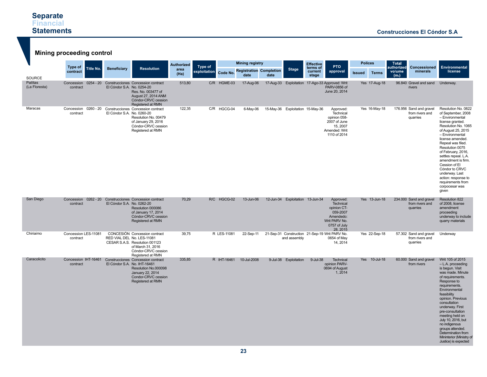| <b>Mining proceeding control</b>           |                                  |           |                              |                                                                                                                                                                |                   |              |             |                                        |      |                                  |                                            |                                                                                                             |                |               |                                            |                                                        |                                                                                                                                                                                                                                                                                                                                                                                                              |
|--------------------------------------------|----------------------------------|-----------|------------------------------|----------------------------------------------------------------------------------------------------------------------------------------------------------------|-------------------|--------------|-------------|----------------------------------------|------|----------------------------------|--------------------------------------------|-------------------------------------------------------------------------------------------------------------|----------------|---------------|--------------------------------------------|--------------------------------------------------------|--------------------------------------------------------------------------------------------------------------------------------------------------------------------------------------------------------------------------------------------------------------------------------------------------------------------------------------------------------------------------------------------------------------|
|                                            | Type of                          |           |                              |                                                                                                                                                                | <b>Authorized</b> | Type of      |             | <b>Mining registry</b>                 |      |                                  | <b>Effective</b><br><b>PTO</b><br>terms of |                                                                                                             | <b>Polices</b> |               | <b>Total</b><br>authorized<br>Concessioned |                                                        | <b>Environmental</b>                                                                                                                                                                                                                                                                                                                                                                                         |
|                                            | contract                         | Title No. | <b>Beneficiary</b>           | <b>Resolution</b>                                                                                                                                              | area<br>(Ha)      | exploitation | Code No.    | <b>Registration Completion</b><br>date | date | <b>Stage</b>                     | current<br>stage                           | approval                                                                                                    | <b>Issued</b>  | <b>Terms</b>  | volume<br>(m <sub>s</sub> )                | minerals                                               | license                                                                                                                                                                                                                                                                                                                                                                                                      |
| <b>SOURCE</b><br>Pailitas<br>(La Floresta) | Concession<br>contract           |           | El Cóndor S.A. No. 0254-20   | 0254 - 20 Construcciones Concession contract<br>Res. No. 003477 of<br>August 27, 2014 ANM<br>Cóndor-CRVC cession<br>Registered at RMN                          | 513.80            |              | C/R HGME-03 | 17-Aug-06                              |      |                                  |                                            | 17-Aug-33 Exploitation 17-Ago-33 Approved: Writ<br>PARV-0856 of<br>June 20, 2014                            |                | Yes 17-Aug-18 |                                            | 96.840 Gravel and sand<br>rivers                       | Underway.                                                                                                                                                                                                                                                                                                                                                                                                    |
| Maracas                                    | Concession<br>contract           |           | El Cóndor S.A. No. 0260-20   | 0260 - 20 Construcciones Concession contract<br>Resolution No. 00479<br>of January 29, 2016<br>Cóndor-CRVC cession<br>Registered at RMN                        | 122,35            |              | C/R HGCG-04 | 6-May-06                               |      | 15-May-36 Exploitation 15-May-36 |                                            | Approved:<br>Technical<br>opinion 058-<br>2007 of June<br>15, 2007<br>Amended: Writ<br>1110 of 2014         |                | Yes 16-May-18 |                                            | 176.956 Sand and gravel<br>from rivers and<br>quarries | Resolution No. 0822<br>of September, 2008<br>- Environmental<br>license granted.<br>Resolution No. 1065<br>of August 25, 2015<br>- Environmental<br>license amended.<br>Repeal was filed.<br>Resolution 0075<br>of February, 2016,<br>settles repeal. L.A.<br>amendment is firm.<br>Cession of El<br>Cóndor to CRVC<br>underway. Last<br>action: response to<br>requirements from<br>corpocesar was<br>given |
| San Diego                                  | Concession<br>contract           |           | El Cóndor S.A. No. 0262-20   | 0262 - 20 Construcciones Concession contract<br>Resolution 000086<br>of January 17, 2014<br>Cóndor-CRVC cession<br>Registered at RMN                           | 70,29             |              | R/C HGCG-02 | 13-Jun-06                              |      | 12-Jun-34 Exploitation 13-Jun-34 |                                            | Approved:<br>Technical<br>opinion CT-<br>059-2007<br>Amendedo:<br>Writ PARV No.<br>0757 of July<br>28, 2015 |                | Yes 13-Jun-18 |                                            | 234.000 Sand and gravel<br>from rivers and<br>quarries | Resolution 822<br>of 2008, license<br>amendment<br>proceeding<br>underway to include<br>quarry materials                                                                                                                                                                                                                                                                                                     |
| Chiriaimo                                  | Concession LES-11081<br>contract |           |                              | CONCESIÓN Concession contract<br>RED VIAL DEL No. LES-11081<br>CESAR S.A.S. Resolution 001123<br>of March 31, 2016<br>Cóndor-CRVC cession<br>Registered at RMN | 39,75             |              | R LES-11081 | 22-Sep-11                              |      | and assembly                     |                                            | 21-Sep-31 Construction 21-Sep-19 Writ PARV No.<br>0654 of May<br>14, 2014                                   |                | Yes 22-Sep-18 |                                            | 57.302 Sand and gravel<br>from rivers and<br>quarries  | Underway                                                                                                                                                                                                                                                                                                                                                                                                     |
| Caracolicito                               | Concession IHT-16461<br>contract |           | El Cóndor S.A. No. IHT-16461 | Construcciones Concession contract<br>Resolution No.000098<br>January 22, 2014<br>Condor-CRVC cession<br>Registered at RMN                                     | 335.85            |              | R IHT-16461 | 10-Jul-2008                            |      | 9-Jul-38 Exploitation            | 9-Jul-38                                   | <b>Technical</b><br>opinion PARV-<br>0694 of August<br>1, 2014                                              |                | Yes 10-Jul-18 |                                            | 60.000 Sand and gravel<br>from rivers                  | Writ 105 of 2015<br>$-L.A.$ proceeding<br>is begun. Visit<br>was made. Minute<br>of requirements.<br>Response to<br>requirements.<br>Environmental<br>feasibility<br>opinion. Previous<br>consultation<br>underway. First<br>pre-consultation<br>meeting held on<br>July 10, 2016, but<br>no indigenous<br>groups attended.<br>Determination from<br>Mininterior (Ministry of<br>Justice) is expected        |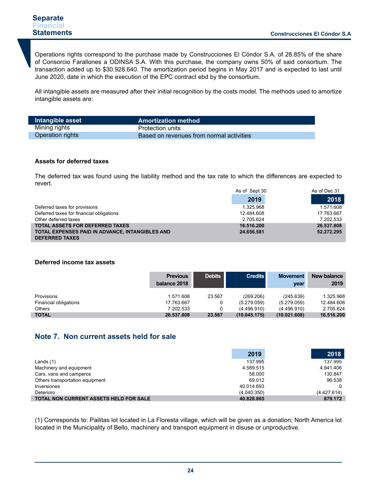Operations rights correspond to the purchase made by Construcciones El Cóndor S.A. of 28.85% of the share of Consorcio Farallones a ODINSA S.A. With this purchase, the company owns 50% of said consortium. The transaction added up to \$30.928.640. The amortization period begins in May 2017 and is expected to last until June 2020, date in which the execution of the EPC contract ebd by the consortium.

All intangible assets are measured after their initial recognition by the costs model. The methods used to amortize intangible assets are:

| Intangible asset        | <b>Amortization method</b>               |
|-------------------------|------------------------------------------|
| Mining rights           | <b>Protection units</b>                  |
| <b>Operation rights</b> | Based on revenues from normal activities |

### **Assets for deferred taxes**

The deferred tax was found using the liability method and the tax rate to which the differences are expected to revert.

|                                                 | As of Sept 30 | As of Dec 31 |
|-------------------------------------------------|---------------|--------------|
|                                                 | 2019          | 2018         |
| Deferred taxes for provisions                   | 1.325.968     | 1.571.608    |
| Deferred taxes for financial obligations        | 12.484.608    | 17.763.667   |
| Other deferred taxes                            | 2.705.624     | 7.202.533    |
| <b>TOTAL ASSETS FOR DEFERRED TAXES</b>          | 16.516.200    | 26.537.808   |
| TOTAL EXPENSES PAID IN ADVANCE, INTANGIBLES AND | 24.656.581    | 52.272.295   |
| <b>DEFERRED TAXES</b>                           |               |              |

### **Deferred income tax assets**

|                       | <b>Previous</b><br>balance 2018 | <b>Debits</b> | <b>Credits</b> | <b>Movement</b><br>year | New balance<br>2019 |
|-----------------------|---------------------------------|---------------|----------------|-------------------------|---------------------|
| Provisions            | 1.571.608                       | 23.567        | (269.206)      | (245.639)               | 1.325.968           |
| Financial obligations | 17.763.667                      |               | (5.279.059)    | (5.279.059)             | 12.484.608          |
| <b>Others</b>         | 7.202.533                       |               | (4.496.910)    | (4.496.910)             | 2.705.624           |
| <b>TOTAL</b>          | 26.537.808                      | 23.567        | (10.045.175)   | (10.021.608)            | 16.516.200          |

# **Note 7. Non current assets held for sale**

|                                               | 2019        | 2018        |
|-----------------------------------------------|-------------|-------------|
| Lands $(1)$                                   | 137.995     | 137.995     |
| Machinery and equipment                       | 4.589.515   | 4.941.406   |
| Cars, vans and camperos                       | 58.000      | 130.847     |
| Others transportation equipment               | 69.012      | 96.538      |
| Inversiones                                   | 40.014.693  |             |
| Deterioro                                     | (4.040.350) | (4.427.614) |
| <b>TOTAL NON CURRENT ASSETS HELD FOR SALE</b> | 40.828.865  | 879.172     |

(1) Corresponds to: Pailitas lot located in La Floresta village, which will be given as a donation; North America lot located in the Municipality of Bello, machinery and transport equipment in disuse or unproductive.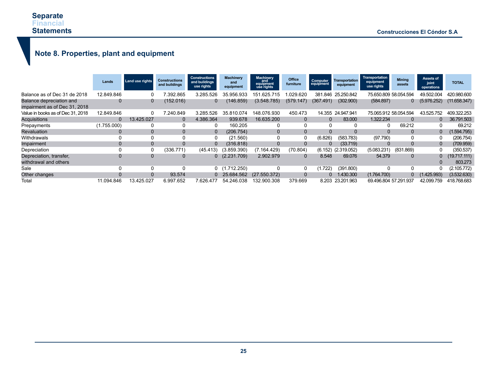# **Note 8. Properties, plant and equipment**

|                                                                  | Lands        | Land use rights | Constructions<br>and buildings | <b>Constructions</b><br>and buildings<br>use rights | <b>Machinery</b><br>and<br>equipment | <b>Machinery</b><br>and<br>equipment<br>use rights | Office<br>furniture | Computer<br>equipment | <b>Transportation</b><br>equipment | Transportation<br>equipment<br>use rights | <b>Mining</b><br>assets | Assets of<br>joint<br>operations | <b>TOTAL</b> |
|------------------------------------------------------------------|--------------|-----------------|--------------------------------|-----------------------------------------------------|--------------------------------------|----------------------------------------------------|---------------------|-----------------------|------------------------------------|-------------------------------------------|-------------------------|----------------------------------|--------------|
| Balance as of Dec 31 de 2018                                     | 12.849.846   |                 | 7.392.865                      | 3.285.526                                           | 35.956.933                           | 151.625.715                                        | .029.620            | 381.846               | 25.250.842                         |                                           | 75.650.809 58.054.594   | 49.502.004                       | 420.980.600  |
| <b>Balance depreciation and</b><br>impairment as of Dec 31, 2018 | 0            | 0               | (152.016)                      | 0                                                   | (146.859)                            | (3.548.785)                                        | (579.147)           | (367.491)             | (302.900)                          | (584.897)                                 | 0                       | (5.976.252)                      | (11.658.347) |
| Value in books as of Dec 31, 2018                                | 12.849.846   |                 | 7.240.849                      | 3.285.526                                           | 35.810.074                           | 148.076.930                                        | 450.473             | 14.355                | 24.947.941                         |                                           | 75.065.912 58.054.594   | 43.525.752                       | 409.322.253  |
| <b>Acquisitions</b>                                              | $\mathbf{0}$ | 13.425.027      | 0                              | 4.386.364                                           | 939.678                              | 16.635.200                                         | $\overline{0}$      | $\Omega$              | 83,000                             | 1.322.234                                 | $\Omega$                | $\Omega$                         | 36.791.503   |
| Prepayments                                                      | (1.755.000)  |                 |                                | 0                                                   | 160.205                              |                                                    |                     |                       |                                    |                                           | 69.212                  | 0                                | 69.212       |
| Revaluation                                                      | 0            | $\Omega$        | 0                              | $\mathbf{0}$                                        | (206.754)                            |                                                    | $\Omega$            |                       |                                    |                                           | $\Omega$                | 0                                | (1.594.795)  |
| Withdrawals                                                      | 0            |                 |                                | 0                                                   | (21.560)                             |                                                    |                     | (6.826)               | (583.783)                          | (97.790)                                  |                         | 0                                | (206.754)    |
| Impairment                                                       | 0            | $\Omega$        |                                | 0                                                   | (316.818)                            | $\Omega$                                           | $\Omega$            | 0                     | (33.719)                           |                                           |                         | $\mathbf{0}$                     | (709.959)    |
| Depreciation                                                     | 0            | 0               | (336.771)                      | (45.413)                                            | (3.859.390)                          | (7.164.429)                                        | (70.804)            |                       | $(6.152)$ $(2.319.052)$            | (5.083.231)                               | (831.869)               | 0                                | (350.537)    |
| Depreciation, transfer,                                          | $\mathbf{0}$ | $\Omega$        |                                | 0                                                   | (2.231.709)                          | 2.902.979                                          | $\Omega$            | 8.548                 | 69.076                             | 54.379                                    |                         | 0                                | (19.717.111) |
| withdrawal and others                                            |              |                 |                                |                                                     |                                      |                                                    |                     |                       |                                    |                                           |                         |                                  | 803.273      |
| Sale                                                             | 0            | 0               |                                | 0                                                   | 1.712.250)                           |                                                    | 0                   | (1.722)               | (391.800)                          |                                           | 0                       | 0                                | (2.105.772)  |
| Other changes                                                    | $\Omega$     | $\Omega$        | 93.574                         |                                                     | 25.684.562                           | (27.550.372)                                       | $\Omega$            | 0                     | 1.430.300                          | (1.764.700)                               |                         | $0$ $(1.425.993)$                | (3.532.630)  |
| Total                                                            | 11.094.846   | 13.425.027      | 6.997.652                      | 7.626.477                                           | 54.246.038                           | 132.900.308                                        | 379.669             | 8.203                 | 23.201.963                         | 69.496.804 57.291.937                     |                         | 42.099.759                       | 418.768.683  |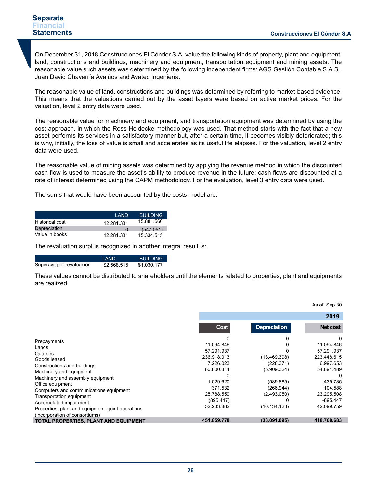On December 31, 2018 Construcciones El Cóndor S.A. value the following kinds of property, plant and equipment: land, constructions and buildings, machinery and equipment, transportation equipment and mining assets. The reasonable value such assets was determined by the following independent firms: AGS Gestión Contable S.A.S., Juan David Chavarría Avalúos and Avatec Ingeniería.

The reasonable value of land, constructions and buildings was determined by referring to market-based evidence. This means that the valuations carried out by the asset layers were based on active market prices. For the valuation, level 2 entry data were used.

The reasonable value for machinery and equipment, and transportation equipment was determined by using the cost approach, in which the Ross Heidecke methodology was used. That method starts with the fact that a new asset performs its services in a satisfactory manner but, after a certain time, it becomes visibly deteriorated; this is why, initially, the loss of value is small and accelerates as its useful life elapses. For the valuation, level 2 entry data were used.

The reasonable value of mining assets was determined by applying the revenue method in which the discounted cash flow is used to measure the asset's ability to produce revenue in the future; cash flows are discounted at a rate of interest determined using the CAPM methodology. For the evaluation, level 3 entry data were used.

The sums that would have been accounted by the costs model are:

| I AND      | <b>BUILDING</b> |
|------------|-----------------|
| 12.281.331 | 15.881.566      |
| $\Omega$   | (547.051)       |
| 12.281.331 | 15.334.515      |
|            |                 |

The revaluation surplus recognized in another integral result is:

|                           | I AND       | <b>BUILDING</b> |
|---------------------------|-------------|-----------------|
| Superávit por revaluación | \$2.568.515 | \$1.030.177     |

These values cannot be distributed to shareholders until the elements related to properties, plant and equipments are realized.

|                                                                                                                                                                                                                                                                                                                          |                                                                                                                                     |                                                                                                   | As of Sep 30                                                                                                                       |
|--------------------------------------------------------------------------------------------------------------------------------------------------------------------------------------------------------------------------------------------------------------------------------------------------------------------------|-------------------------------------------------------------------------------------------------------------------------------------|---------------------------------------------------------------------------------------------------|------------------------------------------------------------------------------------------------------------------------------------|
|                                                                                                                                                                                                                                                                                                                          |                                                                                                                                     |                                                                                                   | 2019                                                                                                                               |
|                                                                                                                                                                                                                                                                                                                          | Cost                                                                                                                                | <b>Depreciation</b>                                                                               | Net cost                                                                                                                           |
| Prepayments<br>Lands<br>Quarries<br>Goods leased<br>Constructions and buildings<br>Machinery and equipment<br>Machinery and assembly equipment<br>Office equipment<br>Computers and communications equipment<br>Transportation equipment<br>Accumulated impairment<br>Properties, plant and equipment - joint operations | 11.094.846<br>57.291.937<br>236.918.013<br>7.226.023<br>60.800.814<br>1.029.620<br>371.532<br>25.788.559<br>(895.447)<br>52.233.882 | (13.469.398)<br>(228.371)<br>(5.909.324)<br>(589.885)<br>(266.944)<br>(2.493.050)<br>(10.134.123) | 11.094.846<br>57.291.937<br>223.448.615<br>6.997.653<br>54.891.489<br>439.735<br>104.588<br>23.295.508<br>$-895.447$<br>42.099.759 |
| (incorporation of consortiums)<br>TOTAL PROPERTIES, PLANT AND EQUIPMENT                                                                                                                                                                                                                                                  | 451.859.778                                                                                                                         | (33.091.095)                                                                                      | 418.768.683                                                                                                                        |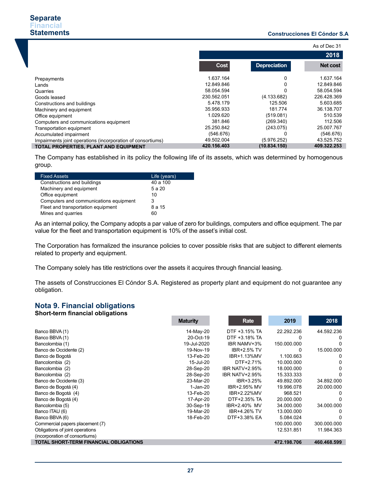### **Construcciones El Cóndor S.A .**

|                                                             |             |                     | As of Dec 31    |
|-------------------------------------------------------------|-------------|---------------------|-----------------|
|                                                             |             |                     | 2018            |
|                                                             | Cost        | <b>Depreciation</b> | <b>Net cost</b> |
| Prepayments                                                 | 1.637.164   | 0                   | 1.637.164       |
| Lands                                                       | 12.849.846  | 0                   | 12.849.846      |
| Quarries                                                    | 58.054.594  | $\Omega$            | 58.054.594      |
| Goods leased                                                | 230.562.051 | (4.133.682)         | 226.428.369     |
| Constructions and buildings                                 | 5.478.179   | 125.506             | 5.603.685       |
| Machinery and equipment                                     | 35.956.933  | 181.774             | 36.138.707      |
| Office equipment                                            | 1.029.620   | (519.081)           | 510.539         |
| Computers and communications equipment                      | 381.846     | (269.340)           | 112.506         |
| Transportation equipment                                    | 25.250.842  | (243.075)           | 25.007.767      |
| Accumulated impairment                                      | (546.676)   | 0                   | (546.676)       |
| Impairments joint operations (incorporation of consortiums) | 49.502.004  | (5.976.252)         | 43.525.752      |
| TOTAL PROPERTIES, PLANT AND EQUIPMENT                       | 420.156.403 | (10.834.150)        | 409.322.253     |

The Company has established in its policy the following life of its assets, which was determined by homogenous group.

| <b>Fixed Assets</b>                    | Life (years) |
|----------------------------------------|--------------|
| Constructions and buildings            | 40 a 100     |
| Machinery and equipment                | 5 a 20       |
| Office equipment                       | 10           |
| Computers and communications equipment | 3            |
| Fleet and transportation equipment     | 8 a 15       |
| Mines and quarries                     | 60           |

As an internal policy, the Company adopts a par value of zero for buildings, computers and office equipment. The par value for the fleet and transportation equipment is 10% of the asset's initial cost.

The Corporation has formalized the insurance policies to cover possible risks that are subject to different elements related to property and equipment.

The Company solely has title restrictions over the assets it acquires through financial leasing.

The assets of Construcciones El Cóndor S.A. Registered as property plant and equipment do not guarantee any obligation.

#### **Nota 9. Financial obligations Short-term financial obligations**

| Short-term miancial opilyations               |                 |                       |             |             |
|-----------------------------------------------|-----------------|-----------------------|-------------|-------------|
|                                               | <b>Maturity</b> | Rate                  | 2019        | 2018        |
| Banco BBVA (1)                                | 14-May-20       | DTF +3.15% TA         | 22.292.236  | 44.592.236  |
| Banco BBVA (1)                                | 20-Oct-19       | DTF +3.18% TA         |             | 0           |
| Bancolombia (1)                               | 19-Jul-2020     | <b>IBR NAMV+3%</b>    | 150.000.000 | 0           |
| Banco de Occidente (2)                        | 19-Nov-19       | <b>IBR+2.5% TV</b>    | 0           | 15.000.000  |
| Banco de Bogotá                               | 13-Feb-20       | IBR+1.13%MV           | 1.100.663   | O           |
| Bancolombia (2)                               | 15-Jul-20       | DTF+2.71%             | 10.000.000  | 0           |
| Bancolombia (2)                               | 28-Sep-20       | <b>IBR NATV+2.95%</b> | 18.000.000  | 0           |
| Bancolombia (2)                               | 28-Sep-20       | <b>IBR NATV+2.95%</b> | 15.333.333  | 0           |
| Banco de Occidente (3)                        | 23-Mar-20       | IBR+3.25%             | 49.892.000  | 34.892.000  |
| Banco de Bogotá (4)                           | 1-Jan-20        | IBR+2.95% MV          | 19.996.078  | 20.000.000  |
| Banco de Bogotá (4)                           | 13-Feb-20       | IBR+2.22%MV           | 968.521     | 0           |
| Banco de Bogotá (4)                           | 17-Apr-20       | DTF+2.35% TA          | 20.000.000  | 0           |
| Bancolombia (5)                               | 30-Sep-19       | IBR+2.40% MV          | 34.000.000  | 34.000.000  |
| Banco ITAU (6)                                | 19-Mar-20       | <b>IBR+4.26% TV</b>   | 13.000.000  | O           |
| Banco BBVA (6)                                | 18-Feb-20       | DTF+3.38% EA          | 5.084.024   | 0           |
| Commercial papers placement (7)               |                 |                       | 100.000.000 | 300.000.000 |
| Obligations of joint operations               |                 |                       | 12.531.851  | 11.984.363  |
| (incorporation of consortiums)                |                 |                       |             |             |
| <b>TOTAL SHORT-TERM FINANCIAL OBLIGATIONS</b> |                 |                       | 472.198.706 | 460.468.599 |
|                                               |                 |                       |             |             |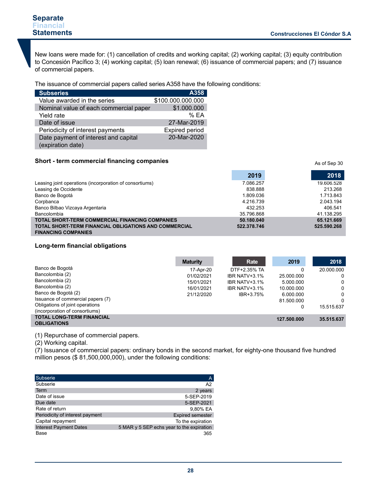### **Separate Financial Statements**

New loans were made for: (1) cancellation of credits and working capital; (2) working capital; (3) equity contribution to Concesión Pacífico 3; (4) working capital; (5) loan renewal; (6) issuance of commercial papers; and (7) issuance of commercial papers.

The issuance of commercial papers called series A358 have the following conditions:

| <b>Subseries</b>                                          | A358                  |
|-----------------------------------------------------------|-----------------------|
| Value awarded in the series                               | \$100.000.000.000     |
| Nominal value of each commercial paper                    | \$1.000.000           |
| Yield rate                                                | %FA                   |
| Date of issue                                             | 27-Mar-2019           |
| Periodicity of interest payments                          | <b>Expired period</b> |
| Date payment of interest and capital<br>(expiration date) | 20-Mar-2020           |

### **Short - term commercial financing companies**

|                                                              | 2019        | 2018        |
|--------------------------------------------------------------|-------------|-------------|
| Leasing joint operations (incorporation of consortiums)      | 7.086.257   | 19.606.528  |
| Leasing de Occidente                                         | 838.888     | 213.268     |
| Banco de Bogotá                                              | 1.809.036   | 1.713.843   |
| Corpbanca                                                    | 4.216.739   | 2.043.194   |
| Banco Bilbao Vizcaya Argentaria                              | 432.253     | 406.541     |
| Bancolombia                                                  | 35.796.868  | 41.138.295  |
| <b>TOTAL SHORT-TERM COMMERCIAL FINANCING COMPANIES</b>       | 50.180.040  | 65.121.669  |
| <b>TOTAL SHORT-TERM FINANCIAL OBLIGATIONS AND COMMERCIAL</b> | 522.378.746 | 525.590.268 |
| <b>FINANCING COMPANIES</b>                                   |             |             |

### **Long-term financial obligations**

|                                                        | <b>Maturity</b> | Rate          | 2019        | 2018       |
|--------------------------------------------------------|-----------------|---------------|-------------|------------|
| Banco de Bogotá                                        | 17-Apr-20       | DTF+2.35% TA  | 0           | 20.000.000 |
| Bancolombia (2)                                        | 01/02/2021      | IBR NATV+3.1% | 25,000,000  | 0          |
| Bancolombia (2)                                        | 15/01/2021      | IBR NATV+3.1% | 5.000.000   | 0          |
| Bancolombia (2)                                        | 16/01/2021      | IBR NATV+3.1% | 10.000.000  | 0          |
| Banco de Bogotá (2)                                    | 21/12/2020      | IBR+3.75%     | 6.000.000   | 0          |
| Issuance of commercial papers (7)                      |                 |               | 81.500.000  | 0          |
| Obligations of joint operations                        |                 |               | 0           | 15.515.637 |
| (incorporation of consortiums)                         |                 |               |             |            |
| <b>TOTAL LONG-TERM FINANCIAL</b><br><b>OBLIGATIONS</b> |                 |               | 127.500.000 | 35.515.637 |

(1) Repurchase of commercial papers.

(2) Working capital.

(7) Issuance of commercial papers: ordinary bonds in the second market, for eighty-one thousand five hundred million pesos (\$ 81,500,000,000), under the following conditions:

| Subserie                        | $\overline{A}$                              |
|---------------------------------|---------------------------------------------|
| Subserie                        | A <sub>2</sub>                              |
| Term                            | 2 years                                     |
| Date of issue                   | 5-SEP-2019                                  |
| Due date                        | 5-SEP-2021                                  |
| Rate of return                  | 9.80% EA                                    |
| Periodicity of interest payment | <b>Expired semester</b>                     |
| Capital repayment               | To the expiration                           |
| <b>Interest Payment Dates</b>   | 5 MAR $y$ 5 SEP echs year to the expiration |
| Base                            | 365                                         |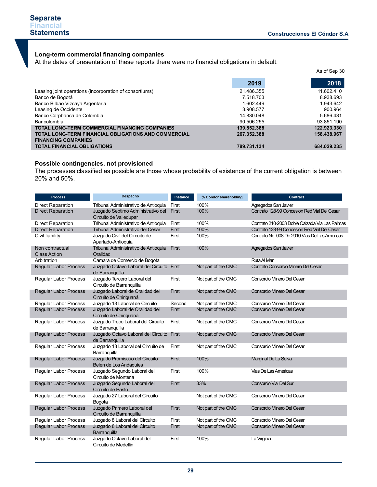### **Long-term commercial financing companies**

At the dates of presentation of these reports there were no financial obligations in default.

|                                                                                           |             | As of Sep 30 |
|-------------------------------------------------------------------------------------------|-------------|--------------|
|                                                                                           | 2019        | 2018         |
| Leasing joint operations (incorporation of consortiums)                                   | 21.486.355  | 11.602.410   |
| Banco de Bogotá                                                                           | 7.518.703   | 8.938.693    |
| Banco Bilbao Vizcaya Argentaria                                                           | 1.602.449   | 1.943.642    |
| Leasing de Occidente                                                                      | 3.908.577   | 900.964      |
| Banco Corpbanca de Colombia                                                               | 14.830.048  | 5.686.431    |
| Bancolombia                                                                               | 90.506.255  | 93.851.190   |
| <b>TOTAL LONG-TERM COMMERCIAL FINANCING COMPANIES</b>                                     | 139.852.388 | 122.923.330  |
| <b>TOTAL LONG-TERM FINANCIAL OBLIGATIONS AND COMMERCIAL</b><br><b>FINANCING COMPANIES</b> | 267.352.388 | 158.438.967  |
| <b>TOTAL FINANCIAL OBLIGATIONS</b>                                                        | 789.731.134 | 684.029.235  |

# **Possible contingencies, not provisioned**

The processes classified as possible are those whose probability of existence of the current obligation is between 20% and 50%.

| <b>Process</b>                         | Despacho                                                        | Instance | % Cóndor shareholding | Contract                                       |
|----------------------------------------|-----------------------------------------------------------------|----------|-----------------------|------------------------------------------------|
| <b>Direct Reparation</b>               | Tribunal Administrativo de Antioquia                            | First    | 100%                  | Agregados San Javier                           |
| <b>Direct Reparation</b>               | Juzgado Septimo Administrativo del<br>Circuito de Valledupar    | First    | 100%                  | Contrato 128-99 Concesion Red Vial Del Cesar   |
| <b>Direct Reparation</b>               | Tribunal Administrativo de Antioquia                            | First    | 100%                  | Contrato 210-2003 Doble Calzada Via Las Palmas |
| <b>Direct Reparation</b>               | Tribunal Administrativo del Cesar                               | First    | 100%                  | Contrato 128-99 Concesion Red Vial Del Cesar   |
| Civil liability                        | Juzgado Civil del Circuito de<br>Apartado-Antioquia             | First    | 100%                  | Contrato No. 008 De 2010 Vias De Las Americas  |
| Non contractual<br><b>Class Action</b> | Tribunal Administrativo de Antioquia<br>Oralidad                | First    | 100%                  | Agregados San Javier                           |
| Arbitration                            | Camara de Comercio de Bogota                                    |          |                       | <b>Ruta Al Mar</b>                             |
| <b>Regular Labor Process</b>           | Juzgado Octavo Laboral del Circuito First<br>de Barranquilla    |          | Not part of the CMC   | Contrato Consorcio Minero Del Cesar            |
| <b>Regular Labor Process</b>           | Juzgado Tercero Laboral del<br>Circuito de Barranquilla         | First    | Not part of the CMC   | Consorcio Minero Del Cesar                     |
| <b>Regular Labor Process</b>           | Juzgado Laboral de Oralidad del<br>Circuito de Chiriquaná       | First    | Not part of the CMC   | Consorcio Minero Del Cesar                     |
| Regular Labor Process                  | Juzgado 13 Laboral de Circuito                                  | Second   | Not part of the CMC   | Consorcio Minero Del Cesar                     |
| <b>Regular Labor Process</b>           | Juzgado Laboral de Oralidad del<br>Circuito de Chiriguaná       | First    | Not part of the CMC   | Consorcio Minero Del Cesar                     |
| <b>Regular Labor Process</b>           | Juzgado Trece Laboral del Circuito<br>de Barranquilla           | First    | Not part of the CMC   | Consorcio Minero Del Cesar                     |
| <b>Regular Labor Process</b>           | Juzgado Octavo Laboral del Circuito First<br>de Barranquilla    |          | Not part of the CMC   | Consorcio Minero Del Cesar                     |
| <b>Regular Labor Process</b>           | Juzgado 13 Laboral del Circuito de<br>Barranguilla              | First    | Not part of the CMC   | Consorcio Minero Del Cesar                     |
| <b>Regular Labor Process</b>           | Juzgado Promiscuo del Circuito<br><b>Belen de Los Andaquies</b> | First    | 100%                  | Marginal De La Selva                           |
| Regular Labor Process                  | Juzgado Segundo Laboral del<br>Circuito de Monteria             | First    | 100%                  | Vias De Las Americas                           |
| <b>Regular Labor Process</b>           | Juzgado Segundo Laboral del<br>Circuito de Pasto                | First    | 33%                   | <b>Consorcio Vial Del Sur</b>                  |
| <b>Regular Labor Process</b>           | Juzgado 27 Laboral del Circuito<br>Bogota                       |          | Not part of the CMC   | Consorcio Minero Del Cesar                     |
| <b>Regular Labor Process</b>           | Juzgado Primero Laboral del<br>Circuito de Barranquilla         | First    | Not part of the CMC   | Consorcio Minero Del Cesar                     |
| <b>Regular Labor Process</b>           | Juzgado 8 Laboral del Circuito                                  | First    | Not part of the CMC   | Consorcio Minero Del Cesar                     |
| <b>Regular Labor Process</b>           | Juzgado 8 Laboral del Circuito<br>Barranguilla                  | First    | Not part of the CMC   | Consorcio Minero Del Cesar                     |
| Regular Labor Process                  | Juzgado Octavo Laboral del<br>Circuito de Medellin              | First    | 100%                  | La Virginia                                    |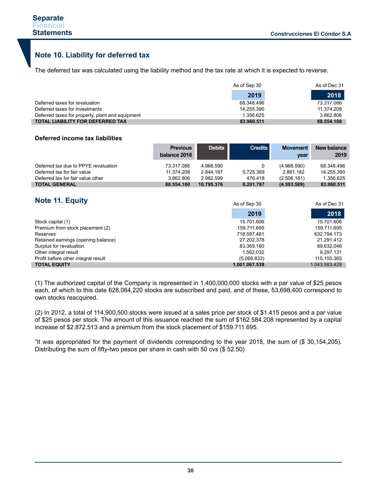I

# **Note 10. Liability for deferred tax**

The deferred tax was calculated using the liability method and the tax rate at which it is expected to reverse.

|                                                  | As of Sep 30 | As of Dec 31 |
|--------------------------------------------------|--------------|--------------|
|                                                  | 2019         | 2018         |
| Deferred taxes for revaluation                   | 68.348.496   | 73.317.086   |
| Deferred taxes for investments                   | 14.255.390   | 11.374.208   |
| Deferred taxes for property, plant and equipment | 1.356.625    | 3.862.806    |
| <b>TOTAL LIABILITY FOR DEFERRED TAX</b>          | 83.960.511   | 88.554.100   |

### **Deferred income tax liabilities**

|                                      | <b>Previous</b><br>balance 2018 | <b>Debits</b> | <b>Credits</b> | <b>Movement</b><br>year | New balance<br>2019 |
|--------------------------------------|---------------------------------|---------------|----------------|-------------------------|---------------------|
| Deferred tax due to PPYE revaluation | 73.317.086                      | 4.968.590     |                | (4.968.590)             | 68.348.496          |
| Deferred tax for fair value          | 11.374.208                      | 2.844.187     | 5.725.369      | 2.881.182               | 14.255.390          |
| Deferred tax for fair value other    | 3.862.806                       | 2.982.599     | 476.418        | (2.506.181)             | 1.356.625           |
| <b>TOTAL GENERAL</b>                 | 88.554.100                      | 10.795.376    | 6.201.787      | (4.593.589)             | 83.960.511          |

# **Note 11. Equity**

| NOTE TI. EQUITY                     | As of Sep 30  | As of Dec 31  |
|-------------------------------------|---------------|---------------|
|                                     | 2019          | 2018          |
| Stock capital (1)                   | 15.701.606    | 15.701.606    |
| Premium from stock placement (2)    | 159.711.695   | 159.711.695   |
| Reserves                            | 718.587.481   | 632.794.173   |
| Retained earnings (opening balance) | 27.202.378    | 21.291.412    |
| Surplus for revaluation             | 83.369.180    | 89.632.046    |
| Other integral result               | 1.562.032     | 9.297.131     |
| Profit before other integral result | (5.066.833)   | 115.155.365   |
| <b>TOTAL EQUITY</b>                 | 1.001.067.539 | 1.043.583.428 |

(1) The authorized capital of the Company is represented in 1,400,000,000 stocks with a par value of \$25 pesos each, of which to this date 628,064,220 stocks are subscribed and paid, and of these, 53,698,400 correspond to own stocks reacquired.

(2) In 2012, a total of 114,900,500 stocks were issued at a sales price per stock of \$1.415 pesos and a par value of \$25 pesos per stock. The amount of this issuance reached the sum of \$162.584.208 represented by a capital increase of \$2.872.513 and a premium from the stock placement of \$159.711.695.

"It was appropriated for the payment of dividends corresponding to the year 2018, the sum of (\$ 30,154,205). Distributing the sum of fifty-two pesos per share in cash with 50 cvs (\$ 52.50)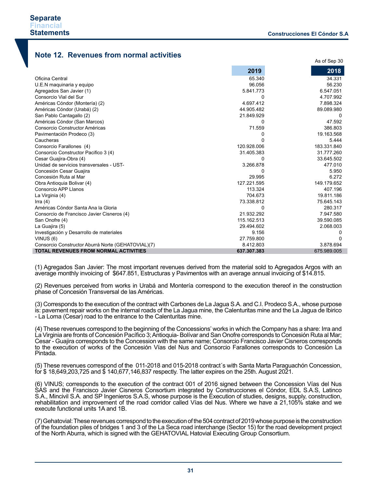# **Note 12. Revenues from normal activities**

|                                                    | 2019        | 2018        |
|----------------------------------------------------|-------------|-------------|
| Oficina Central                                    | 65.340      | 34.331      |
| U.E.N maquinaria y equipo                          | 96.056      | 56.230      |
| Agregados San Javier (1)                           | 5.841.773   | 6.547.051   |
| Consorcio Vial del Sur                             | $\Omega$    | 4.707.992   |
| Américas Cóndor (Montería) (2)                     | 4.697.412   | 7.898.324   |
| Américas Cóndor (Urabá) (2)                        | 44.905.482  | 89.089.980  |
| San Pablo Cantagallo (2)                           | 21.849.929  | 0           |
| Américas Cóndor (San Marcos)                       | 0           | 47.592      |
| Consorcio Constructor Américas                     | 71.559      | 386.803     |
| Pavimentación Prodeco (3)                          | 0           | 19.163.568  |
| Caucheras                                          | n           | 5.444       |
| Consorcio Farallones (4)                           | 120.928.006 | 183.331.840 |
| Consorcio Constructor Pacifico 3 (4)               | 31.405.383  | 31.777.260  |
| Cesar Guajira-Obra (4)                             | $\Omega$    | 33.645.502  |
| Unidad de servicios transversales - UST-           | 3.266.878   | 477.010     |
| Concesión Cesar Guajira                            | 0           | 5.950       |
| Concesión Ruta al Mar                              | 29.995      | 6.272       |
| Obra Antioquia Bolivar (4)                         | 127.221.595 | 149.179.652 |
| Consorcio APP Llanos                               | 113.324     | 407.196     |
| La Virginia (4)                                    | 704.673     | 19.811.186  |
| Irra $(4)$                                         | 73.338.812  | 75.645.143  |
| Américas Cóndor Santa Ana la Gloria                | 0           | 280.317     |
| Consorcio de Francisco Javier Cisneros (4)         | 21.932.292  | 7.947.580   |
| San Onofre (4)                                     | 115.162.513 | 39.590.085  |
| La Guajira (5)                                     | 29.494.602  | 2.068.003   |
| Investigación y Desarrollo de materiales           | 9.156       | 0           |
| VINUS (6)                                          | 27.759.800  | $\Omega$    |
| Consorcio Constructor Aburrá Norte (GEHATOVIAL)(7) | 8.412.803   | 3.878.694   |
| <b>TOTAL REVENUES FROM NORMAL ACTIVITIES</b>       | 637.307.383 | 675.989.005 |

(1) Agregados San Javier: The most important revenues derived from the material sold to Agregados Argos with an average monthly invoicing of \$647.851, Estructuras y Pavimentos with an average annual invoicing of \$14.815.

(2) Revenues perceived from works in Urabá and Montería correspond to the execution thereof in the construction phase of Concesión Transversal de las Américas.

(3) Corresponds to the execution of the contract with Carbones de La Jagua S.A. and C.I. Prodeco S.A., whose purpose is: pavement repair works on the internal roads of the La Jagua mine, the Calenturitas mine and the La Jagua de Ibirico - La Loma (Cesar) road to the entrance to the Calenturitas mine.

(4) These revenues correspond to the beginning of the Concessions' works in which the Company has a share: Irra and La Virginia are fronts of Concesión Pacífico 3; Antioquia- Bolívar and San Onofre corresponds to Concesión Ruta al Mar; Cesar - Guajira corresponds to the Concession with the same name; Consorcio Francisco Javier Cisneros corresponds to the execution of works of the Concesión Vías del Nus and Consorcio Farallones corresponds to Concesión La Pintada.

(5) These revenues correspond of the 011-2018 and 015-2018 contract´s with Santa Marta Paraguachón Concession, for \$ 18,649,203,725 and \$ 140,677,146,837 respectly. The latter expires on the 25th. August 2021.

(6) VINUS; corresponds to the execution of the contract 001 of 2016 signed between the Concession Vías del Nus SAS and the Francisco Javier Cisneros Consortium integrated by Construcciones el Cóndor, EDL S.A.S, Latinco S.A., Mincivil S.A. and SP Ingenieros S.A.S, whose purpose is the Execution of studies, designs, supply, construction, rehabilitation and improvement of the road corridor called Vías del Nus. Where we have a 21,105% stake and we execute functional units 1A and 1B.

(7) Gehatovial: These revenues correspond to the execution of the 504 contract of 2019 whose purpose is the construction of the foundation piles of bridges 1 and 3 of the La Seca road interchange (Sector 15) for the road development project of the North Aburra, which is signed with the GEHATOVIAL Hatovial Executing Group Consortium.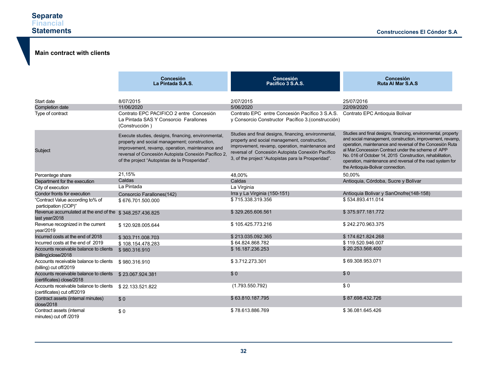# **Main contract with clients**

|                                                                       | <b>Concesión</b><br>La Pintada S.A.S.                                                                                                                                                                                                                             | Concesión<br>Pacífico 3 S.A.S.                                                                                                                                                                                                                                       | Concesión<br>Ruta Al Mar S.A.S                                                                                                                                                                                                                                                                                                                                                                                 |
|-----------------------------------------------------------------------|-------------------------------------------------------------------------------------------------------------------------------------------------------------------------------------------------------------------------------------------------------------------|----------------------------------------------------------------------------------------------------------------------------------------------------------------------------------------------------------------------------------------------------------------------|----------------------------------------------------------------------------------------------------------------------------------------------------------------------------------------------------------------------------------------------------------------------------------------------------------------------------------------------------------------------------------------------------------------|
| Start date                                                            | 8/07/2015                                                                                                                                                                                                                                                         | 2/07/2015                                                                                                                                                                                                                                                            | 25/07/2016                                                                                                                                                                                                                                                                                                                                                                                                     |
| Completion date                                                       | 11/06/2020                                                                                                                                                                                                                                                        | 5/06/2020                                                                                                                                                                                                                                                            | 22/09/2020                                                                                                                                                                                                                                                                                                                                                                                                     |
| Type of contract                                                      | Contrato EPC PACIFICO 2 entre Concesión<br>La Pintada SAS Y Consorcio Farallones<br>(Construcción)                                                                                                                                                                | Contrato EPC entre Concesión Pacífico 3 S.A.S.<br>y Consorcio Constructor Pacífico 3. (construcción)                                                                                                                                                                 | Contrato EPC Antioquia Bolivar                                                                                                                                                                                                                                                                                                                                                                                 |
| Subject                                                               | Execute studies, designs, financing, environmental,<br>property and social management; construction,<br>improvement, revamp, operation, maintenance and<br>reversal of Concesión Autopista Conexión Pacífico 2,<br>of the project "Autopistas de la Prosperidad". | Studies and final designs, financing, environmental,<br>property and social management, construction,<br>improvement, revamp, operation, maintenance and<br>reversal of Concesión Autopista Conexión Pacífico<br>3, of the project "Autopistas para la Prosperidad". | Studies and final designs, financing, environmental, property<br>and social management, construction, improvement, revamp,<br>operation, maintenance and reversal of the Concesión Ruta<br>al Mar. Concession Contract under the scheme of APP<br>No. 016 of October 14, 2015 Construction, rehabilitation,<br>operation, maintenance and reversal of the road system for<br>the Antioquia-Bolivar connection. |
| Percentege share                                                      | 21,15%                                                                                                                                                                                                                                                            | 48,00%                                                                                                                                                                                                                                                               | 50.00%                                                                                                                                                                                                                                                                                                                                                                                                         |
| Department for the execution                                          | Caldas                                                                                                                                                                                                                                                            | Caldas                                                                                                                                                                                                                                                               | Antioquia, Córdoba, Sucre y Bolívar                                                                                                                                                                                                                                                                                                                                                                            |
| City of execution                                                     | La Pintada                                                                                                                                                                                                                                                        | La Virginia                                                                                                                                                                                                                                                          |                                                                                                                                                                                                                                                                                                                                                                                                                |
| Condor fronts for execution                                           | Consorcio Farallones(142)                                                                                                                                                                                                                                         | Irra y La Virginia (150-151)                                                                                                                                                                                                                                         | Antioquia Bolivar y SanOnofre(148-158)                                                                                                                                                                                                                                                                                                                                                                         |
| "Contract Value according to% of<br>participation (COP)"              | \$676.701.500.000                                                                                                                                                                                                                                                 | \$715.338.319.356                                                                                                                                                                                                                                                    | \$534.893.411.014                                                                                                                                                                                                                                                                                                                                                                                              |
| Revenue accumulated at the end of the<br>last year/2018               | \$348.257.436.825                                                                                                                                                                                                                                                 | \$329.265.606.561                                                                                                                                                                                                                                                    | \$375.977.181.772                                                                                                                                                                                                                                                                                                                                                                                              |
| Revenue recognized in the current<br>year/2019                        | \$120.928.005.644                                                                                                                                                                                                                                                 | \$105.425.773.216                                                                                                                                                                                                                                                    | \$242.270.963.375                                                                                                                                                                                                                                                                                                                                                                                              |
| Incurred costs at the end of 2018                                     | \$303.711.008.703                                                                                                                                                                                                                                                 | \$213.035.092.365                                                                                                                                                                                                                                                    | \$174.621.824.268                                                                                                                                                                                                                                                                                                                                                                                              |
| Incurred costs at the end of 2019                                     | \$108.154.478.283                                                                                                                                                                                                                                                 | \$64.824.868.782                                                                                                                                                                                                                                                     | \$119.520.946.007                                                                                                                                                                                                                                                                                                                                                                                              |
| Accounts receivable balance to clients<br>(billing)close/2018         | \$980.316.910                                                                                                                                                                                                                                                     | \$16.187.236.253                                                                                                                                                                                                                                                     | \$20.253.568.400                                                                                                                                                                                                                                                                                                                                                                                               |
| Accounts receivable balance to clients<br>(billing) cut off/2019      | \$980.316.910                                                                                                                                                                                                                                                     | \$3.712.273.301                                                                                                                                                                                                                                                      | \$69.308.953.071                                                                                                                                                                                                                                                                                                                                                                                               |
| Accounts receivable balance to clients<br>(certificates) close/2018   | \$23.067.924.381                                                                                                                                                                                                                                                  | \$0                                                                                                                                                                                                                                                                  | \$0                                                                                                                                                                                                                                                                                                                                                                                                            |
| Accounts receivable balance to clients<br>(certificates) cut off/2019 | \$22.133.521.822                                                                                                                                                                                                                                                  | (1.793.550.792)                                                                                                                                                                                                                                                      | \$0                                                                                                                                                                                                                                                                                                                                                                                                            |
| Contract assets (internal minutes)<br>close/2018                      | \$0                                                                                                                                                                                                                                                               | \$63.810.187.795                                                                                                                                                                                                                                                     | \$87.698.432.726                                                                                                                                                                                                                                                                                                                                                                                               |
| Contract assets (internal<br>minutes) cut off /2019                   | \$0                                                                                                                                                                                                                                                               | \$78.613.886.769                                                                                                                                                                                                                                                     | \$36.081.645.426                                                                                                                                                                                                                                                                                                                                                                                               |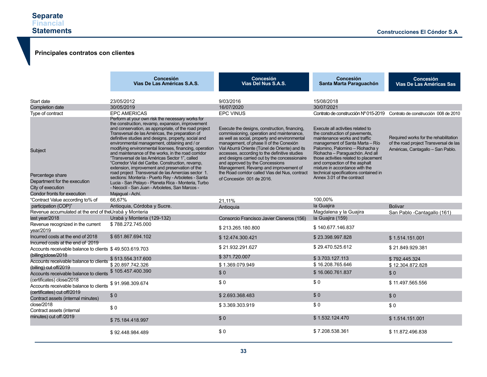## **Principales contratos con clientes**

|                                                                                                                 | Concesión<br>Vias De Las Américas S.A.S.                                                                                                                                                                                                                                                                                                                                                                                                                                                                                                                                                                                                                                                                                                                                                                                                   | <b>Concesión</b><br>Vias Del Nus S.A.S.                                                                                                                                                                                                                                                                                                                                                                                                                                                                | Concesión<br>Santa Marta Paraguachón                                                                                                                                                                                                                                                                                                                                                             | <b>Concesión</b><br><b>Vias De Las Américas Sas</b>                                                                  |
|-----------------------------------------------------------------------------------------------------------------|--------------------------------------------------------------------------------------------------------------------------------------------------------------------------------------------------------------------------------------------------------------------------------------------------------------------------------------------------------------------------------------------------------------------------------------------------------------------------------------------------------------------------------------------------------------------------------------------------------------------------------------------------------------------------------------------------------------------------------------------------------------------------------------------------------------------------------------------|--------------------------------------------------------------------------------------------------------------------------------------------------------------------------------------------------------------------------------------------------------------------------------------------------------------------------------------------------------------------------------------------------------------------------------------------------------------------------------------------------------|--------------------------------------------------------------------------------------------------------------------------------------------------------------------------------------------------------------------------------------------------------------------------------------------------------------------------------------------------------------------------------------------------|----------------------------------------------------------------------------------------------------------------------|
| Start date                                                                                                      | 23/05/2012                                                                                                                                                                                                                                                                                                                                                                                                                                                                                                                                                                                                                                                                                                                                                                                                                                 | 9/03/2016                                                                                                                                                                                                                                                                                                                                                                                                                                                                                              | 15/08/2018                                                                                                                                                                                                                                                                                                                                                                                       |                                                                                                                      |
| Completion date                                                                                                 | 30/05/2019                                                                                                                                                                                                                                                                                                                                                                                                                                                                                                                                                                                                                                                                                                                                                                                                                                 | 16/07/2020                                                                                                                                                                                                                                                                                                                                                                                                                                                                                             | 30/07/2021                                                                                                                                                                                                                                                                                                                                                                                       |                                                                                                                      |
| Type of contract                                                                                                | <b>EPC AMERICAS</b>                                                                                                                                                                                                                                                                                                                                                                                                                                                                                                                                                                                                                                                                                                                                                                                                                        | <b>EPC VINUS</b>                                                                                                                                                                                                                                                                                                                                                                                                                                                                                       | Contrato de construcción Nº 015-2019 Contrato de construcción 008 de 2010                                                                                                                                                                                                                                                                                                                        |                                                                                                                      |
| Subject<br>Percentege share<br>Department for the execution<br>City of execution<br>Condor fronts for execution | Perform at your own risk the necessary works for<br>the construction, revamp, expansion, improvement<br>and conservation, as appropriate, of the road project<br>Transversal de las Américas, the preparation of<br>definitive studies and designs, property, social and<br>environmental management, obtaining and / or<br>modifying environmental licenses, financing, operation<br>and maintenance of the works, in the road corridor<br>"Transversal de las Américas Sector 1", called<br>"Corredor Vial del Caribe. Construction, revamp,<br>extension, improvement and preservation of the<br>road project Transversal de las Amercias sector 1.<br>sections: Montería - Puerto Rey - Arboletes - Santa<br>Lucia - San Pelayo - Planeta Rica - Monteria, Turbo<br>- Necoclí - San Juan - Arboletes, San Marcos -<br>Majaqual - Achí. | Execute the designs, construction, financing,<br>commissioning, operation and maintenance,<br>as well as social, property and environmental<br>management, of phase II of the Conexión<br>Vial Aburrá Oriente (Túnel de Oriente) and its<br>accesses, according to the definitive studies<br>and designs carried out by the concessionaire<br>and approved by the Concessions<br>Management. Revamp and improvement of<br>the Road corridor called Vias del Nus, contract<br>of Concesión 001 de 2016. | Execute all activities related to<br>the construction of pavements,<br>maintenance works and traffic<br>management of Santa Marta - Río<br>Palomino, Palomino - Riohacha y<br>Riohacha - Paraguachón. And all<br>those activities related to placement<br>and compaction of the asphalt<br>mixture in accordance with the<br>technical specifications contained in<br>Annex 3.01 of the contract | Required works for the rehabilitation<br>of the road project Transversal de las<br>Américas, Cantagallo - San Pablo. |
| "Contract Value according to% of                                                                                | 66,67%                                                                                                                                                                                                                                                                                                                                                                                                                                                                                                                                                                                                                                                                                                                                                                                                                                     |                                                                                                                                                                                                                                                                                                                                                                                                                                                                                                        | 100,00%                                                                                                                                                                                                                                                                                                                                                                                          |                                                                                                                      |
| participation (COP)"                                                                                            | Antioquia, Córdoba y Sucre.                                                                                                                                                                                                                                                                                                                                                                                                                                                                                                                                                                                                                                                                                                                                                                                                                | 21.11%<br>Antioquia                                                                                                                                                                                                                                                                                                                                                                                                                                                                                    | la Guajira                                                                                                                                                                                                                                                                                                                                                                                       | <b>Bolivar</b>                                                                                                       |
| Revenue accumulated at the end of theUrabá y Monteria                                                           |                                                                                                                                                                                                                                                                                                                                                                                                                                                                                                                                                                                                                                                                                                                                                                                                                                            |                                                                                                                                                                                                                                                                                                                                                                                                                                                                                                        | Magdalena y la Guajira                                                                                                                                                                                                                                                                                                                                                                           | San Pablo -Cantagallo (161)                                                                                          |
| last year/2018                                                                                                  | Urabá y Monteria (129-132)                                                                                                                                                                                                                                                                                                                                                                                                                                                                                                                                                                                                                                                                                                                                                                                                                 | Consorcio Francisco Javier Cisneros (156)                                                                                                                                                                                                                                                                                                                                                                                                                                                              | la Guajira (159)                                                                                                                                                                                                                                                                                                                                                                                 |                                                                                                                      |
| Revenue recognized in the current<br>year/2019                                                                  | \$788.272.745.000                                                                                                                                                                                                                                                                                                                                                                                                                                                                                                                                                                                                                                                                                                                                                                                                                          | \$213.265.180.800                                                                                                                                                                                                                                                                                                                                                                                                                                                                                      | \$140.677.146.837                                                                                                                                                                                                                                                                                                                                                                                |                                                                                                                      |
| Incurred costs at the end of 2018<br>Incurred costs at the end of 2019                                          | \$651.867.694.102                                                                                                                                                                                                                                                                                                                                                                                                                                                                                                                                                                                                                                                                                                                                                                                                                          | \$12.474.300.421                                                                                                                                                                                                                                                                                                                                                                                                                                                                                       | \$23.398.997.828                                                                                                                                                                                                                                                                                                                                                                                 | \$1.514.151.001                                                                                                      |
| Accounts receivable balance to clients \$49.503.619.703<br>(billing)close/2018                                  |                                                                                                                                                                                                                                                                                                                                                                                                                                                                                                                                                                                                                                                                                                                                                                                                                                            | \$21.932.291.627                                                                                                                                                                                                                                                                                                                                                                                                                                                                                       | \$29.470.525.612                                                                                                                                                                                                                                                                                                                                                                                 | \$21.849.929.381                                                                                                     |
| Accounts receivable balance to clients                                                                          | \$513.554.317.600                                                                                                                                                                                                                                                                                                                                                                                                                                                                                                                                                                                                                                                                                                                                                                                                                          | \$371.720.007                                                                                                                                                                                                                                                                                                                                                                                                                                                                                          | \$3.703.127.113                                                                                                                                                                                                                                                                                                                                                                                  | \$792.445.324                                                                                                        |
| (billing) cut off/2019                                                                                          | \$20.897.742.326                                                                                                                                                                                                                                                                                                                                                                                                                                                                                                                                                                                                                                                                                                                                                                                                                           | \$1.369.079.949                                                                                                                                                                                                                                                                                                                                                                                                                                                                                        | \$16.208.765.646                                                                                                                                                                                                                                                                                                                                                                                 | \$12.304.872.828                                                                                                     |
| Accounts receivable balance to clients                                                                          | \$105.457.400.390                                                                                                                                                                                                                                                                                                                                                                                                                                                                                                                                                                                                                                                                                                                                                                                                                          | \$0                                                                                                                                                                                                                                                                                                                                                                                                                                                                                                    | \$16.060.761.837                                                                                                                                                                                                                                                                                                                                                                                 | \$0                                                                                                                  |
| (certificates) close/2018<br>Accounts receivable balance to clients \$91.998.309.674                            |                                                                                                                                                                                                                                                                                                                                                                                                                                                                                                                                                                                                                                                                                                                                                                                                                                            | \$0                                                                                                                                                                                                                                                                                                                                                                                                                                                                                                    | \$0                                                                                                                                                                                                                                                                                                                                                                                              | \$11.497.565.556                                                                                                     |
| (certificates) cut off/2019<br>Contract assets (internal minutes)                                               | \$0                                                                                                                                                                                                                                                                                                                                                                                                                                                                                                                                                                                                                                                                                                                                                                                                                                        | \$2.693.368.483                                                                                                                                                                                                                                                                                                                                                                                                                                                                                        | \$0                                                                                                                                                                                                                                                                                                                                                                                              | \$0                                                                                                                  |
| close/2018<br>Contract assets (internal                                                                         | \$0                                                                                                                                                                                                                                                                                                                                                                                                                                                                                                                                                                                                                                                                                                                                                                                                                                        | \$3.369.303.919                                                                                                                                                                                                                                                                                                                                                                                                                                                                                        | \$0                                                                                                                                                                                                                                                                                                                                                                                              | \$0                                                                                                                  |
| minutes) cut off /2019                                                                                          | \$75.184.418.997                                                                                                                                                                                                                                                                                                                                                                                                                                                                                                                                                                                                                                                                                                                                                                                                                           | \$0                                                                                                                                                                                                                                                                                                                                                                                                                                                                                                    | \$1.532.124.470                                                                                                                                                                                                                                                                                                                                                                                  | \$1.514.151.001                                                                                                      |
|                                                                                                                 | \$92.448.984.489                                                                                                                                                                                                                                                                                                                                                                                                                                                                                                                                                                                                                                                                                                                                                                                                                           | \$0                                                                                                                                                                                                                                                                                                                                                                                                                                                                                                    | \$7.208.538.361                                                                                                                                                                                                                                                                                                                                                                                  | \$11.872.496.838                                                                                                     |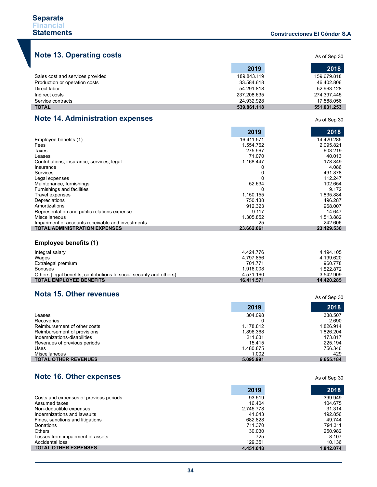As of Sep 30

# **Note 13. Operating costs**

|                                  | 2019        | 2018        |
|----------------------------------|-------------|-------------|
| Sales cost and services provided | 189.843.119 | 159.679.818 |
| Production or operation costs    | 33.584.618  | 46.402.806  |
| Direct labor                     | 54.291.818  | 52.963.128  |
| Indirect costs                   | 237.208.635 | 274.397.445 |
| Service contracts                | 24.932.928  | 17.588.056  |
| <b>TOTAL</b>                     | 539.861.118 | 551.031.253 |

# **Note 14. Administration expenses**

|                                                   | 2019       | 2018       |
|---------------------------------------------------|------------|------------|
| Employee benefits (1)                             | 16.411.571 | 14.420.285 |
| Fees                                              | 1.554.762  | 2.095.821  |
| Taxes                                             | 275.967    | 603.219    |
| Leases                                            | 71.070     | 40.013     |
| Contributions, insurance, services, legal         | 1.168.447  | 178.849    |
| Insurance                                         |            | 4.086      |
| Services                                          |            | 491.878    |
| Legal expenses                                    |            | 112.247    |
| Maintenance, furnishings                          | 52.634     | 102.654    |
| Furnishings and facilities                        |            | 9.172      |
| Travel expenses                                   | 1.150.155  | 1.835.884  |
| Depreciations                                     | 750.138    | 496.287    |
| Amortizations                                     | 912.323    | 968.007    |
| Representation and public relations expense       | 9.117      | 14.647     |
| Miscellaneous                                     | 1.305.852  | 1.513.882  |
| Impariment of accounts receivable and investments | 25         | 242.606    |
| <b>TOTAL ADMINISTRATION EXPENSES</b>              | 23.662.061 | 23.129.536 |

# **Employee benefits (1)**

| Integral salary                                                      | 4.424.776  | 4.194.105  |
|----------------------------------------------------------------------|------------|------------|
| Wages                                                                | 4.797.856  | 4.199.620  |
| Extralegal premium                                                   | 701.771    | 960.778    |
| Bonuses                                                              | 1.916.008  | 1.522.872  |
| Others (legal benefits, contributions to social security and others) | 4.571.160  | 3.542.909  |
| <b>TOTAL EMPLOYEE BENEFITS</b>                                       | 16.411.571 | 14.420.285 |

# **Nota 15. Other revenues**

|                              | 2019      | 2018      |
|------------------------------|-----------|-----------|
| Leases                       | 304.098   | 338.507   |
| Recoveries                   |           | 2.690     |
| Reimbursement of other costs | 1.178.812 | 1.826.914 |
| Reimbursement of provisions  | 1.896.368 | 1.826.204 |
| Indemnizations-disabilities  | 211.631   | 173.817   |
| Revenues of previous periods | 15.415    | 225.194   |
| Uses                         | 1.480.875 | 756.346   |
| Miscellaneous                | 1.002     | 429       |
| <b>TOTAL OTHER REVENUES</b>  | 5.095.991 | 6.655.184 |

# **Note 16. Other expenses**

|                                        | 2019      | 2018      |
|----------------------------------------|-----------|-----------|
| Costs and expenses of previous periods | 93.519    | 399.949   |
| Assumed taxes                          | 16.404    | 104.675   |
| Non-deductible expenses                | 2.745.778 | 31.314    |
| Indemnizations and lawsuits            | 41.043    | 192.856   |
| Fines, sanctions and litigations       | 682.828   | 49.744    |
| Donations                              | 711.370   | 794.311   |
| <b>Others</b>                          | 30.030    | 250.982   |
| Losses from impairment of assets       | 725       | 8.107     |
| Accidental loss                        | 129.351   | 10.136    |
| <b>TOTAL OTHER EXPENSES</b>            | 4.451.048 | 1.842.074 |

As of Sep 30

As of Sep 30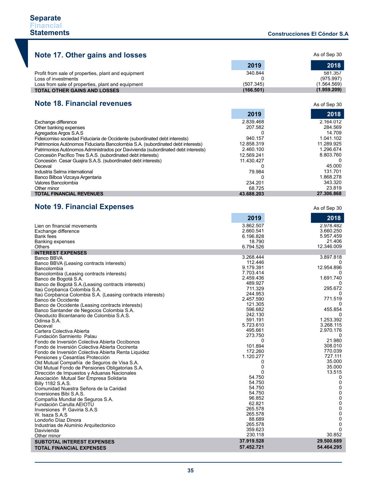| Note 17. Other gains and losses                     |           | As of Sep 30                      |
|-----------------------------------------------------|-----------|-----------------------------------|
|                                                     | 2019      | 2018                              |
| Profit from sale of properties, plant and equipment | 340.844   | 581.357                           |
| Loss of investments                                 |           | (975.997)                         |
| Loss from sale of properties, plant and equipment   | (507.345) | (1.564.569)                       |
| <b>TOTAL OTHER GAINS AND LOSSES</b>                 | (166.501) | (1.959.209)                       |
|                                                     |           |                                   |
| <b>Note 18. Financial revenues</b>                  |           | As of Sep 30                      |
|                                                     | 2019      | 2018                              |
| Exchange difference                                 | 2.839.468 | 2.164.012<br>$\ddot{\phantom{0}}$ |

| Other banking expenses                                                           | 207.582    | 284.569    |
|----------------------------------------------------------------------------------|------------|------------|
| Agregados Argos S.A.S                                                            |            | 14.709     |
| Fideicomiso sociedad Fiduciaria de Occidente (subordinated debt interests)       | 940.157    | 1.041.102  |
| Patrimonios Autónomos Fiduciaria Bancolombia S.A. (subordinated debt interests)  | 12.858.319 | 11.289.925 |
| Patrimonios Autónomos Administrados por Davivienda (subordinated debt interests) | 2.460.100  | 1.296.674  |
| Concesión Pacífico Tres S.A.S. (subordinated debt interests)                     | 12.569.241 | 8.803.760  |
| Concesión Cesar Guajira S.A.S. (subordinated debt interests)                     | 11.430.427 |            |
| Deceval                                                                          |            | 45.000     |
| Industria Selma international                                                    | 79.984     | 131.701    |
| Banco Bilboa Vizcaya Argentaria                                                  |            | 1.868.278  |
| Valores Bancolombia                                                              | 234.201    | 343.320    |
| Other minor                                                                      | 68.725     | 23.819     |
| <b>TOTAL FINANCIAL REVENUES</b>                                                  | 43.688.203 | 27.306.868 |
|                                                                                  |            |            |

# **Note 19. Financial Expenses**

|                                                            | 2019               | 2018         |
|------------------------------------------------------------|--------------------|--------------|
| Lien on financial movements                                | 3.862.507          | 2.978.482    |
| Exchange difference                                        | 2.660.541          | 3.660.250    |
| Bank fees                                                  | 6.196.828          | 5.957.459    |
| Banking expenses                                           | 18.790             | 21.406       |
| <b>Others</b>                                              | 6.794.526          | 12.346.009   |
| <b>INTEREST EXPENSES</b>                                   |                    |              |
| Banco BBVA                                                 | 3.268.444          | 3.897.818    |
| Banco BBVA (Leasing contracts interests)                   | 112.446            |              |
| Bancolombia                                                | 9.179.391          | 12.954.896   |
| Bancolombia (Leasing contracts interests)                  | 7.703.414          |              |
| Banco de Bogotá S.A.                                       | 2.459.436          | 1.691.740    |
| Banco de Bogotá S.A. (Leasing contracts interests)         | 489.927            | 0<br>295.672 |
| Itaú Corpbanca Colombia S.A.                               | 711.329<br>244.953 | 0            |
| Itaú Corpbanca Colombia S.A. (Leasing contracts interests) | 2.457.590          | 771.519      |
| Banco de Occidente                                         | 121.305            | $\Omega$     |
| Banco de Occidente (Leasing contracts interests)           | 596.682            | 455.854      |
| Banco Santander de Negocios Colombia S.A.                  | 242.130            | $\Omega$     |
| Oleoducto Bicentanario de Colombia S.A.S.                  | 591.191            | 1.253.392    |
| Odinsa S.A.                                                | 5.723.610          | 3.268.115    |
| Deceval<br>Cartera Colectiva Abierta                       | 495.661            | 2.970.176    |
| Fundación Sarmiento Palau                                  | 273.750            | 0            |
| Fondo de Inversión Colectiva Abierta Occibonos             | 0                  | 21.980       |
| Fondo de Inversión Colectiva Abierta Occirenta             | 101.894            | 308.010      |
| Fondo de Inversión Colectiva Abierta Renta Liquidez        | 172.260            | 770.039      |
| Pensiones y Cesantías Protección                           | 1.120.277          | 727.111      |
| Old Mutual Compañía de Seguros de Visa S.A.                | 0                  | 35.000       |
| Old Mutual Fondo de Pensiones Obligatorias S.A.            | 0                  | 35.000       |
| Dirección de Impuestos y Aduanas Nacionales                | 0                  | 13.515       |
| Asociación Mutual Ser Empresa Solidaria                    | 54.750             | 0            |
| Billy 1182 S.A.S.                                          | 54.750             | 0            |
| Comunidad Nuestra Señora de la Caridad                     | 54.750             | 0            |
| Inversiones Bibi S.A.S.                                    | 54.750             | 0            |
| Compañía Mundial de Seguros S.A.                           | 96.852             | $\pmb{0}$    |
| Fundación Carulla AEIOTU                                   | 62.821             | 0            |
| Inversiones P. Gaviria S.A.S                               | 265.578            | $\pmb{0}$    |
| W. Isaza S.A.S.                                            | 265.578            | 0            |
| Londoño Díaz Dinora                                        | 88.689             | $\mathbf 0$  |
| Industrias de Aluminio Arquitectonico                      | 265.578            | 0            |
| Davivienda                                                 | 359.623            | $\Omega$     |
| Other minor                                                | 230.118            | 30.852       |
| <b>SUBTOTAL INTEREST EXPENSES</b>                          | 37.919.528         | 29.500.689   |
| <b>TOTAL FINANCIAL EXPENSES</b>                            | 57.452.721         | 54.464.295   |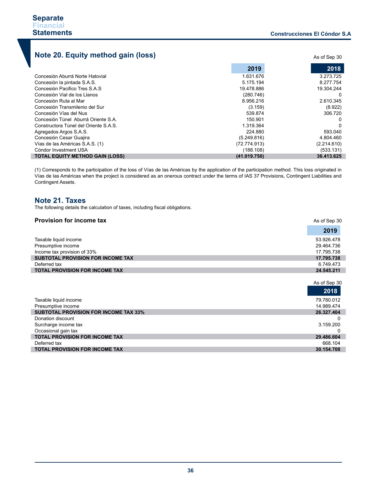# **Note 20. Equity method gain (loss)**

|                                        | 2019         | 2018        |
|----------------------------------------|--------------|-------------|
| Concesión Aburrá Norte Hatovial        | 1.631.676    | 3.273.725   |
| Concesión la pintada S.A.S.            | 5.175.194    | 8.277.754   |
| Concesión Pacifico Tres S.A.S          | 19.478.886   | 19.304.244  |
| Concesión Vial de los Llanos           | (280.746)    | 0           |
| Concesión Ruta al Mar                  | 8.956.216    | 2.610.345   |
| Concesión Transmilenio del Sur         | (3.159)      | (8.922)     |
| Concesión Vías del Nus                 | 539.874      | 306.720     |
| Concesión Túnel Aburrá Oriente S.A.    | 150.901      | 0           |
| Constructora Túnel del Oriente S.A.S.  | 1.319.364    | $\Omega$    |
| Agregados Argos S.A.S.                 | 224,880      | 593.040     |
| Concesión Cesar Guajira                | (5.249.816)  | 4.804.460   |
| Vías de las Américas S.A.S. (1)        | (72.774.913) | (2.214.610) |
| Cóndor Investment USA                  | (188.108)    | (533.131)   |
| <b>TOTAL EQUITY METHOD GAIN (LOSS)</b> | (41.019.750) | 36.413.625  |

(1) Corresponds to the participation of the loss of Vías de las Américas by the application of the participation method. This loss originated in Vías de las Américas when the project is considered as an onerous contract under the terms of IAS 37 Provisions, Contingent Liabilities and Contingent Assets.

# **Note 21. Taxes**

The following details the calculation of taxes, including fiscal obligations.

| <b>Provision for income tax</b>          | As of Sep 30 |
|------------------------------------------|--------------|
|                                          | 2019         |
| Taxable liquid income                    | 53.926.478   |
| Presumptive income                       | 29.464.736   |
| Income tax provision of 33%              | 17.795.738   |
| <b>SUBTOTAL PROVISION FOR INCOME TAX</b> | 17.795.738   |
| Deferred tax                             | 6.749.473    |
| <b>TOTAL PROVISION FOR INCOME TAX</b>    | 24.545.211   |

|                                              | As of Sep 30 |
|----------------------------------------------|--------------|
|                                              | 2018         |
| Taxable liquid income                        | 79.780.012   |
| Presumptive income                           | 14.989.474   |
| <b>SUBTOTAL PROVISION FOR INCOME TAX 33%</b> | 26.327.404   |
| Donation discount                            |              |
| Surcharge income tax                         | 3.159.200    |
| Occasional gain tax                          |              |
| <b>TOTAL PROVISION FOR INCOME TAX</b>        | 29.486.604   |
| Deferred tax                                 | 668.104      |
| <b>TOTAL PROVISION FOR INCOME TAX</b>        | 30.154.708   |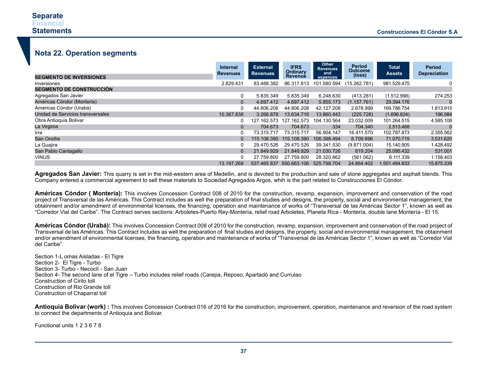# **Nota 22. Operation segments**

| <b>SEGMENTO DE INVERSIONES</b>    | Internal<br><b>Revenues</b> | <b>External</b><br><b>Revenues</b> | <b>IFRS</b><br>Ordinary<br><b>Revenue</b> | Other<br><b>Revenues</b><br>and<br>expences | <b>Period</b><br><b>Outcome</b><br>(loss) | <b>Total</b><br><b>Assets</b> | <b>Period</b><br><b>Depreciation</b> |
|-----------------------------------|-----------------------------|------------------------------------|-------------------------------------------|---------------------------------------------|-------------------------------------------|-------------------------------|--------------------------------------|
| Inversiones                       | 2.829.431                   | 83.488.382                         | 86.317.813                                | 101.580.594                                 | (15.262.781)                              | 981.529.475                   | 0                                    |
| <b>SEGMENTO DE CONSTRUCCIÓN</b>   |                             |                                    |                                           |                                             |                                           |                               |                                      |
| Agregados San Javier              | 0                           | 5.835.349                          | 5.835.349                                 | 6.248.630                                   | (413.281)                                 | (1.512.998)                   | 274.253                              |
| Américas Cóndor (Monteria)        | $\Omega$                    | 4.697.412                          | 4.697.412                                 | 5.855.173                                   | (1.157.761)                               | 29.394.176                    |                                      |
| Américas Cóndor (Urabá)           | 0                           | 44.806.208                         | 44.806.208                                | 42.127.208                                  | 2.678.999                                 | 169.786.754                   | 1.813.915                            |
| Unidad de Servicios transversales | 10.367.838                  | 3.266.878                          | 13.634.716                                | 13.860.443                                  | (225.728)                                 | (1.696.824)                   | 196.984                              |
| Obra Antioquia Bolivar            | 0                           | 127.162.573                        | 127.162.573                               | 104.130.564                                 | 23.032.009                                | 101.264.515                   | 4.585.108                            |
| La Virginia                       | $\Omega$                    | 704.673                            | 704.673                                   | 334                                         | 704.340                                   | 2.513.468                     |                                      |
| Irra                              |                             | 73.315.717                         | 73.315.717                                | 56.904.147                                  | 16.411.570                                | 102.787.873                   | 2.355.562                            |
| San Onofre                        |                             | 115.108.390                        | 115.108.390                               | 106.398.494                                 | 8.709.896                                 | 71.070.719                    | 3.531.620                            |
| La Guajira                        |                             | 29.470.526                         | 29.470.526                                | 39.341.530                                  | (9.871.004)                               | 15.140.905                    | 1.428.492                            |
| San Pablo Cantagallo              | $\Omega$                    | 21.849.929                         | 21.849.929                                | 21.030.726                                  | 819.204                                   | 25.095.432                    | 531.001                              |
| <b>VINUS</b>                      | 0                           | 27.759.800                         | 27.759.800                                | 28.320.862                                  | (561.062)                                 | 6.111.339                     | 1.158.403                            |
|                                   | 13.197.269                  |                                    | 537.465.837 550.663.106                   | 525.798.704                                 | 24.864.402                                | 1.501.484.833                 | 15.875.339                           |

**Agregados San Javier:** This quarry is set in the mid-western area of Medellin, and is devoted to the production and sale of stone aggregates and asphalt blends. This Company entered a commercial agreement to sell these materials to Sociedad Agregados Argos, whih is the part related to Construcciones El Cóndor.

**Américas Cóndor ( Montería):** This involves Concession Contract 008 of 2010 for the construction, revamp, expansion, improvement and conservation of the road project of Transversal de las Américas. This Contract includes as well the preparation of final studies and designs, the property, social and environmental management, the obtainment and/or amendment of environmental licenses, the financing, operation and maintenance of works of "Transversal de las Américas Sector 1", known as well as "Corredor Vial del Caribe". The Contract serves sections: Arboletes-Puerto Rey-Montería, relief road Arboletes, Planeta Rica - Montería, double lane Montería - El 15.

**Américas Cóndor (Urabá):** This involves Concession Contract 008 of 2010 for the construction, revamp, expansion, improvement and conservation of the road project of Transversal de las Américas. This Contract includes as well the preparation of final studies and designs, the property, social and environmental management, the obtainment and/or amendment of environmental licenses, the financing, operation and maintenance of works of "Transversal de las Américas Sector 1", known as well as "Corredor Vial del Caribe".

Section 1-L omas Aisladas - El Tigre Section 2- El Tigre - Turbo Section 3- Turbo - Necoclí - San Juan Section 4- The second lane of el Tigre – Turbo includes relief roads (Carepa, Reposo, Apartadó and Currulao Construction of Cirilo toll Construction of Rio Grande toll Construction of Chaparral toll

**Antioquia Bolivar (work)**: This involves Concession Contract 016 of 2016 for the construction, improvement, operation, maintenance and reversion of the road system to connect the departments of Antioquia and Bolivar.

Functional units 1 2 3 6 7 8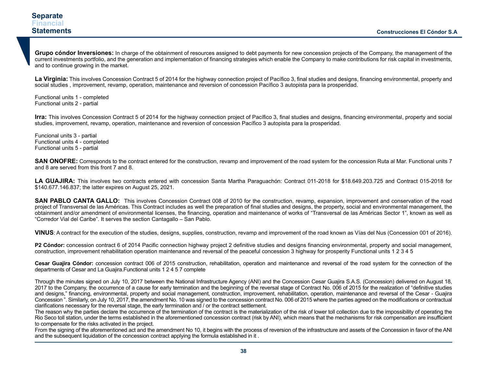**Grupo cóndor Inversiones:** In charge of the obtainment of resources assigned to debt payments for new concession projects of the Company, the management of the current investments portfolio, and the generation and implementation of financing strategies which enable the Company to make contributions for risk capital in investments, and to continue growing in the market.

**La Virginia:** This involves Concession Contract 5 of 2014 for the highway connection project of Pacífico 3, final studies and designs, financing environmental, property and social studies , improvement, revamp, operation, maintenance and reversion of concession Pacífico 3 autopista para la prosperidad.

Functional units 1 - completed Functional units 2 - partial

**Irra:** This involves Concession Contract 5 of 2014 for the highway connection project of Pacífico 3, final studies and designs, financing environmental, property and social studies, improvement, revamp, operation, maintenance and reversion of concession Pacífico 3 autopista para la prosperidad.

Funcional units 3 - partial Functional units 4 - completed Functional units 5 - partial

**SAN ONOFRE:** Corresponds to the contract entered for the construction, revamp and improvement of the road system for the concession Ruta al Mar. Functional units 7 and 8 are served from this front 7 and 8.

LA GUAJIRA: This involves two contracts entered with concession Santa Martha Paraguachón: Contract 011-2018 for \$18.649.203.725 and Contract 015-2018 for \$140.677.146.837; the latter expires on August 25, 2021.

**SAN PABLO CANTA GALLO:** This involves Concession Contract 008 of 2010 for the construction, revamp, expansion, improvement and conservation of the road project of Transversal de las Américas. This Contract includes as well the preparation of final studies and designs, the property, social and environmental management, the obtainment and/or amendment of environmental licenses, the financing, operation and maintenance of works of "Transversal de las Américas Sector 1", known as well as "Corredor Vial del Caribe". It serves the section Cantagallo – San Pablo.

**VINUS**: A contract for the execution of the studies, designs, supplies, construction, revamp and improvement of the road known as Vías del Nus (Concession 001 of 2016).

**P2 Cóndor:** concession contract 6 of 2014 Pacific connection highway project 2 definitive studies and designs financing environmental, property and social management, construction, improvement rehabilitation operation maintenance and reversal of the peaceful concession 3 highway for prosperity Functional units 1 2 3 4 5

**Cesar Guajira Cóndor:** concession contract 006 of 2015 construction, rehabilitation, operation and maintenance and reversal of the road system for the connection of the departments of Cesar and La Guajira.Functional units 1 2 4 5 7 complete

Through the minutes signed on July 10, 2017 between the National Infrastructure Agency (ANI) and the Concession Cesar Guajira S.A.S. (Concession) delivered on August 18, 2017 to the Company, the occurrence of a cause for early termination and the beginning of the reversal stage of Contract No. 006 of 2015 for the realization of "definitive studies and designs," financing, environmental, property and social management, construction, improvement, rehabilitation, operation, maintenance and reversal of the Cesar - Guajira Concession ". Similarly, on July 10, 2017, the amendment No. 10 was signed to the concession contract No. 006 of 2015 where the parties agreed on the modifications or contractual clarifications necessary for the reversal stage, the early termination and / or the contract settlement.

The reason why the parties declare the occurrence of the termination of the contract is the materialization of the risk of lower toll collection due to the impossibility of operating the Rio Seco toll station, under the terms established in the aforementioned concession contract (risk by ANI), which means that the mechanisms for risk compensation are insufficient to compensate for the risks activated in the project.

From the signing of the aforementioned act and the amendment No 10, it begins with the process of reversion of the infrastructure and assets of the Concession in favor of the ANI and the subsequent liquidation of the concession contract applying the formula established in it .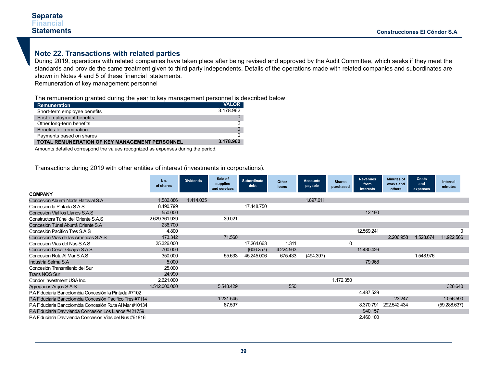# **Note 22. Transactions with related parties**

During 2019, operations with related companies have taken place after being revised and approved by the Audit Committee, which seeks if they meet the standards and provide the same treatment given to third party independents. Details of the operations made with related companies and subordinates are shown in Notes 4 and 5 of these financial statements.

Remuneration of key management personnel

The remuneration granted during the year to key management personnel is described below:

| Remuneration                                          | <b>VALOR</b> |
|-------------------------------------------------------|--------------|
| Short-term employee benefits                          | 3.178.962    |
| Post-employment benefits                              |              |
| Other long-term benefits                              |              |
| Benefits for termination                              |              |
| Payments based on shares                              |              |
| <b>TOTAL REMUNERATION OF KEY MANAGEMENT PERSONNEL</b> | 3.178.962    |

Amounts detailed correspond the values recognized as expenses during the period.

Transactions during 2019 with other entities of interest (investments in corporations).

|                                                          | No.<br>of shares | <b>Dividends</b> | Sale of<br>supplies<br>and services | Subordinate<br>debt | Other<br>loans | <b>Accounts</b><br>payable | <b>Shares</b><br>purchased | <b>Revenues</b><br>from<br>interests | <b>Minutes of</b><br>works and<br>others | Costs<br>and<br>expenses | Internal<br>minutes |
|----------------------------------------------------------|------------------|------------------|-------------------------------------|---------------------|----------------|----------------------------|----------------------------|--------------------------------------|------------------------------------------|--------------------------|---------------------|
| <b>COMPANY</b>                                           |                  |                  |                                     |                     |                |                            |                            |                                      |                                          |                          |                     |
| Concesión Aburrá Norte Hatovial S.A                      | 1.582.886        | 1.414.035        |                                     |                     |                | 1.897.611                  |                            |                                      |                                          |                          |                     |
| Concesión la Pintada S.A.S.                              | 8.490.799        |                  |                                     | 17.448.750          |                |                            |                            |                                      |                                          |                          |                     |
| Concesión Vial los Llanos S.A.S                          | 550,000          |                  |                                     |                     |                |                            |                            | 12.190                               |                                          |                          |                     |
| Constructora Túnel del Oriente S.A.S                     | 2.629.361.939    |                  | 39.021                              |                     |                |                            |                            |                                      |                                          |                          |                     |
| Concesión Túnel Aburrá Oriente S.A                       | 236.700          |                  |                                     |                     |                |                            |                            |                                      |                                          |                          |                     |
| Concesión Pacífico Tres S.A.S                            | 4.800            |                  |                                     |                     |                |                            |                            | 12.569.241                           |                                          |                          | $\Omega$            |
| Concesión Vías de las Américas S.A.S                     | 173.342          |                  | 71.560                              |                     |                |                            |                            |                                      | 2.206.958                                | 1.528.674                | 11.922.566          |
| Concesión Vías del Nus S.A.S                             | 25.326.000       |                  |                                     | 17.264.663          | 1.311          |                            |                            |                                      |                                          |                          |                     |
| Concesión Cesar Guajira S.A.S                            | 700,000          |                  |                                     | (606.257)           | 4.224.563      |                            |                            | 11.430.426                           |                                          |                          |                     |
| Concesión Ruta Al Mar S.A.S                              | 350.000          |                  | 55.633                              | 45.245.006          | 675.433        | (494.397)                  |                            |                                      |                                          | 1.548.976                |                     |
| Industria Selma S.A                                      | 5.000            |                  |                                     |                     |                |                            |                            | 79.968                               |                                          |                          |                     |
| Concesión Transmilenio del Sur                           | 25.000           |                  |                                     |                     |                |                            |                            |                                      |                                          |                          |                     |
| <b>Trans NQS Sur</b>                                     | 24.990           |                  |                                     |                     |                |                            |                            |                                      |                                          |                          |                     |
| Condor Investment USA Inc.                               | 2.621.000        |                  |                                     |                     |                |                            | 1.172.350                  |                                      |                                          |                          |                     |
| Agregados Argos S.A.S                                    | 1.512.000.000    |                  | 5.548.429                           |                     | 550            |                            |                            |                                      |                                          |                          | 328.640             |
| P.A Fiduciaria Bancolombia Concesión la Pintada #7102    |                  |                  |                                     |                     |                |                            |                            | 4.487.529                            |                                          |                          |                     |
| P.A Fiduciaria Bancolombia Concesión Pacífico Tres #7114 |                  |                  | 1.231.545                           |                     |                |                            |                            |                                      | 23.247                                   |                          | 1.056.590           |
| P.A Fiduciaria Bancolombia Concesión Ruta Al Mar #10134  |                  |                  | 87.597                              |                     |                |                            |                            | 8.370.791                            | 292.542.434                              |                          | (59.288.637)        |
| P.A Fiduciaria Davivienda Concesión Los Llanos #421759   |                  |                  |                                     |                     |                |                            |                            | 940.157                              |                                          |                          |                     |
| PA Fiduciaria Davivienda Concesión Vías del Nus #61816   |                  |                  |                                     |                     |                |                            |                            | 2.460.100                            |                                          |                          |                     |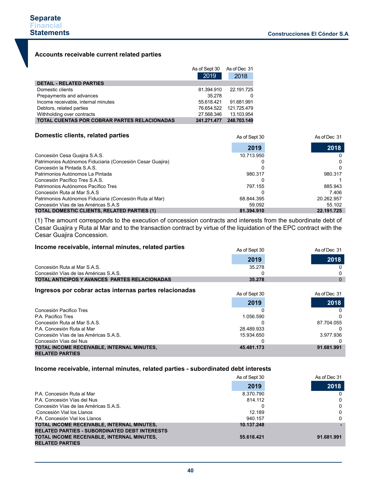As of Dec 31

### **Accounts receivable current related parties**

|                                                     | As of Sept 30 | As of Dec 31 |
|-----------------------------------------------------|---------------|--------------|
|                                                     | 2019          | 2018         |
| <b>DETAIL - RELATED PARTIES</b>                     |               |              |
| Domestic clients                                    | 81.394.910    | 22.191.725   |
| Prepayments and advances                            | 35.278        |              |
| Income receivable, internal minutes                 | 55.618.421    | 91.681.991   |
| Debtors, related parties                            | 76.654.522    | 121.725.479  |
| Withholding over contracts                          | 27.568.346    | 13.103.954   |
| <b>TOTAL CUENTAS POR COBRAR PARTES RELACIONADAS</b> | 241.271.477   | 248.703.149  |

#### **Domestic clients, related parties**

| Domestic clients, related parties                          | As of Sept 30 | As of Dec 31 |  |
|------------------------------------------------------------|---------------|--------------|--|
|                                                            | 2019          | 2018         |  |
| Concesión Cesa Guajira S.A.S.                              | 10.713.950    |              |  |
| Patrimonios Autónomos Fiduciaria (Concesión Cesar Guajira) |               |              |  |
| Concesión la Pintada S.A.S.                                |               |              |  |
| Patrimonios Autónomos La Pintada                           | 980.317       | 980.317      |  |
| Concesión Pacífico Tres S.A.S.                             |               |              |  |
| Patrimonios Autónomos Pacífico Tres                        | 797.155       | 885.943      |  |
| Concesión Ruta al Mar S.A.S                                |               | 7.406        |  |
| Patrimonios Autónomos Fiduciaria (Concesión Ruta al Mar)   | 68.844.395    | 20.262.957   |  |
| Concesión Vías de las Américas S.A.S                       | 59.092        | 55.102       |  |
| <b>TOTAL DOMESTIC CLIENTS, RELATED PARTIES (1)</b>         | 81.394.910    | 22.191.725   |  |

(1) The amount corresponds to the execution of concession contracts and interests from the subordinate debt of Cesar Guajira y Ruta al Mar and to the transaction contract by virtue of the liquidation of the EPC contract with the Cesar Guajira Concession.

### **Income receivable, internal minutes, related parties**

|                                               | <b>INDIA</b> | , w vi Duu vi |
|-----------------------------------------------|--------------|---------------|
|                                               | 2019         | 2018          |
| Concesión Ruta al Mar S.A.S.                  | 35.278       |               |
| Concesión Vías de las Américas S.A.S.         |              |               |
| TOTAL ANTICIPOS Y AVANCES PARTES RELACIONADAS | 35.278       |               |

 $A \cap \{f \}$ 

# **Ingresos por cobrar actas internas partes relacionadas**

| ingresos por cobrar actas internas partes relacionadas | As of Sept 30 | As of Dec 31 |  |
|--------------------------------------------------------|---------------|--------------|--|
|                                                        | 2019          | 2018         |  |
| Concesión Pacifico Tres                                |               |              |  |
| P.A. Pacifico Tres                                     | 1.056.590     |              |  |
| Concesión Ruta al Mar S.A.S.                           |               | 87.704.055   |  |
| P.A. Concesión Ruta al Mar                             | 28.489.933    |              |  |
| Concesión Vías de las Américas S.A.S.                  | 15.934.650    | 3.977.936    |  |
| Concesión Vías del Nus                                 |               |              |  |
| TOTAL INCOME RECEIVABLE. INTERNAL MINUTES.             | 45.481.173    | 91.681.991   |  |
| <b>RELATED PARTIES</b>                                 |               |              |  |

### **Income receivable, internal minutes, related parties - subordinated debt interests**

|                                                      | As of Sept 30 | As of Dec 31 |
|------------------------------------------------------|---------------|--------------|
|                                                      | 2019          | 2018         |
| P.A. Concesión Ruta al Mar                           | 8.370.790     | 0            |
| P.A. Concesión Vías del Nus                          | 814.112       | 0            |
| Concesión Vías de las Américas S.A.S.                |               | $\Omega$     |
| Concesión Vial los Llanos                            | 12.189        | 0            |
| P.A. Concesión Vial los Llanos                       | 940.157       | $\Omega$     |
| TOTAL INCOME RECEIVABLE. INTERNAL MINUTES.           | 10.137.248    |              |
| <b>RELATED PARTIES - SUBORDINATED DEBT INTERESTS</b> |               |              |
| TOTAL INCOME RECEIVABLE. INTERNAL MINUTES.           | 55.618.421    | 91.681.991   |
| <b>RELATED PARTIES</b>                               |               |              |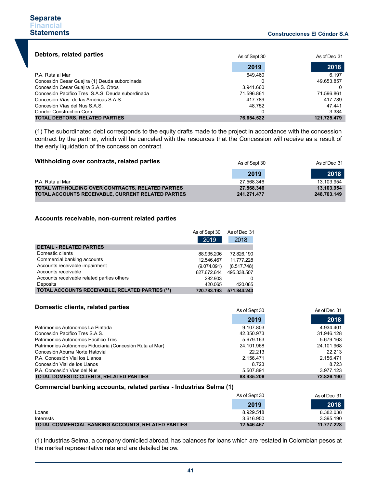| Debtors, related parties                         | As of Sept 30 | As of Dec 31 |
|--------------------------------------------------|---------------|--------------|
|                                                  | 2019          | 2018         |
| P.A. Ruta al Mar                                 | 649.460       | 6.197        |
| Concesión Cesar Guajira (1) Deuda subordinada    |               | 49.653.857   |
| Concesión Cesar Guajira S.A.S. Otros             | 3.941.660     |              |
| Concesión Pacífico Tres S.A.S. Deuda subordinada | 71.596.861    | 71.596.861   |
| Concesión Vías de las Américas S.A.S.            | 417.789       | 417.789      |
| Concesión Vías del Nus S.A.S.                    | 48.752        | 47.441       |
| Condor Construction Corp.                        |               | 3.334        |
| <b>TOTAL DEBTORS, RELATED PARTIES</b>            | 76.654.522    | 121.725.479  |

(1) The subordinated debt corresponds to the equity drafts made to the project in accordance with the concession contract by the partner, which will be canceled with the resources that the Concession will receive as a result of the early liquidation of the concession contract.

| Withholding over contracts, related parties                                                                    | As of Sept 30             | As of Dec 31              |
|----------------------------------------------------------------------------------------------------------------|---------------------------|---------------------------|
|                                                                                                                | 2019                      | 2018                      |
| P.A. Ruta al Mar                                                                                               | 27.568.346                | 13.103.954                |
| TOTAL WITHHOLDING OVER CONTRACTS, RELATED PARTIES<br><b>TOTAL ACCOUNTS RECEIVABLE, CURRENT RELATED PARTIES</b> | 27.568.346<br>241.271.477 | 13.103.954<br>248.703.149 |

### **Accounts receivable, non-current related parties**

|                                                        | As of Sept 30 | As of Dec 31 |
|--------------------------------------------------------|---------------|--------------|
|                                                        | 2019          | 2018         |
| <b>DETAIL - RELATED PARTIES</b>                        |               |              |
| Domestic clients                                       | 88.935.206    | 72.826.190   |
| Commercial banking accounts                            | 12.546.467    | 11.777.228   |
| Accounts receivable impairment                         | (9.074.091)   | (8.517.748)  |
| Accounts receivable                                    | 627.672.644   | 495.338.507  |
| Accounts receivable related parties others             | 282.903       |              |
| Deposits                                               | 420.065       | 420.065      |
| <b>TOTAL ACCOUNTS RECEIVABLE, RELATED PARTIES (**)</b> | 720.783.193   | 571.844.243  |

| Domestic clients, related parties                        | As of Sept 30 | As of Dec 31 |
|----------------------------------------------------------|---------------|--------------|
|                                                          | 2019          | 2018         |
| Patrimonios Autónomos La Pintada                         | 9.107.803     | 4.934.401    |
| Concesión Pacífico Tres S.A.S.                           | 42.350.973    | 31.946.128   |
| Patrimonios Autónomos Pacífico Tres                      | 5.679.163     | 5.679.163    |
| Patrimonios Autónomos Fiduciaria (Concesión Ruta al Mar) | 24.101.968    | 24.101.968   |
| Concesión Aburra Norte Hatovial                          | 22 213        | 22.213       |
| P.A. Concesión Vial los Llanos                           | 2.156.471     | 2.156.471    |
| Concesión Vial de los Llanos                             | 8.723         | 8.723        |
| P.A. Concesión Vías del Nus                              | 5.507.891     | 3.977.123    |
| TOTAL DOMESTIC CLIENTS, RELATED PARTIES                  | 88.935.206    | 72.826.190   |

### **Commercial banking accounts, related parties - Industrias Selma (1)**

|                                                           | As of Sept 30 | As of Dec 31 |
|-----------------------------------------------------------|---------------|--------------|
|                                                           | 2019          | 2018         |
| Loans                                                     | 8.929.518     | 8.382.038    |
| Interests                                                 | 3.616.950     | 3.395.190    |
| <b>TOTAL COMMERCIAL BANKING ACCOUNTS. RELATED PARTIES</b> | 12.546.467    | 11.777.228   |

(1) Industrias Selma, a company domiciled abroad, has balances for loans which are restated in Colombian pesos at the market representative rate and are detailed below.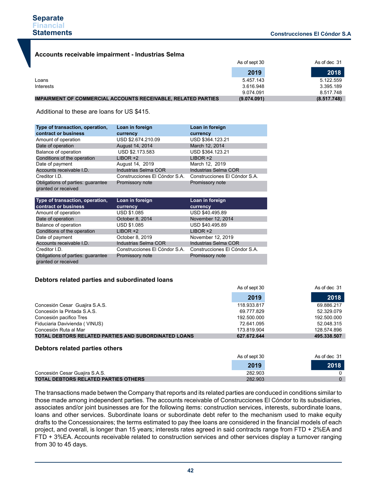### **Accounts receivable impairment - Industrias Selma**

|                                                                      | As of sept 30 | As of dec 31 |
|----------------------------------------------------------------------|---------------|--------------|
|                                                                      | 2019          | 2018         |
| Loans                                                                | 5.457.143     | 5.122.559    |
| Interests                                                            | 3.616.948     | 3.395.189    |
|                                                                      | 9.074.091     | 8.517.748    |
| <b>IMPAIRMENT OF COMMERCIAL ACCOUNTS RECEIVABLE. RELATED PARTIES</b> | (9.074.091)   | (8.517.748)  |

Additional to these are loans for US \$415.

| Type of transaction, operation,   | Loan in foreign               | Loan in foreign               |
|-----------------------------------|-------------------------------|-------------------------------|
| contract or business              | currency                      | currency                      |
| Amount of operation               | USD \$2.674.210.09            | USD \$364.123.21              |
| Date of operation                 | August 14, 2014               | March 12, 2014                |
| Balance of operation              | USD \$2.173.583               | USD \$364.123.21              |
| Conditions of the operation       | $LIBOR +2$                    | $LIBOR + 2$                   |
| Date of payment                   | August 14, 2019               | March 12, 2019                |
| Accounts receivable I.D.          | Industrias Selma COR          | Industrias Selma COR          |
| Creditor I.D.                     | Construcciones El Cóndor S.A. | Construcciones El Cóndor S.A. |
| Obligations of parties: guarantee | Promissory note               | Promissory note               |
| granted or received               |                               |                               |
|                                   |                               |                               |
|                                   |                               |                               |
| Type of transaction, operation,   | Loan in foreign               | Loan in foreign               |
| contract or business              | currency                      | currency                      |
| Amount of operation               | <b>USD \$1.085</b>            | USD \$40.495.89               |
| Date of operation                 | October 8, 2014               | November 12, 2014             |
| Balance of operation              | <b>USD \$1.085</b>            | USD \$40.495.89               |
| Conditions of the operation       | $LIBOR +2$                    | $LIBOR +2$                    |
| Date of payment                   | October 8, 2019               | November 12, 2019             |
| Accounts receivable I.D.          | Industrias Selma COR          | Industrias Selma COR          |
| Creditor I.D.                     | Construcciones El Cóndor S.A. | Construcciones El Cóndor S.A. |

### **Debtors related parties and subordinated loans**

granted or received

**TOTAL DEBTORS RELATED PARTIES OTHERS**

|                                                      | As of sept 30 | As of dec 31 |
|------------------------------------------------------|---------------|--------------|
|                                                      | 2019          | 2018         |
| Concesión Cesar Guajira S.A.S.                       | 118.933.817   | 69.886.217   |
| Concesión la Pintada S.A.S.                          | 69.777.829    | 52.329.079   |
| Concesión pacifico Tres                              | 192.500.000   | 192.500.000  |
| Fiduciaria Davivienda (VINUS)                        | 72.641.095    | 52.048.315   |
| Concesión Ruta al Mar                                | 173.819.904   | 128.574.896  |
| TOTAL DEBTORS RELATED PARTIES AND SUBORDINATED LOANS | 627.672.644   | 495.338.507  |
| Debtors related parties others                       |               |              |
|                                                      | As of sept 30 | As of dec 31 |
|                                                      | 2019          | 2018         |
| Concesión Cesar Guajira S.A.S.                       | 282.903       |              |

The transactions made betwen the Company that reports and its related parties are conduced in conditions similar to those made among independent parties. The accounts receivable of Construcciones El Cóndor to its subsidiaries, associates and/or joint businesses are for the following items: construction services, interests, subordinate loans, loans and other services. Subordinate loans or subordinate debt refer to the mechanism used to make equity drafts to the Concessionaires; the terms estimated to pay thee loans are considered in the financial models of each project, and overall, is longer than 15 years; interests rates agreed in said contracts range from FTD + 2%EA and FTD + 3%EA. Accounts receivable related to construction services and other services display a turnover ranging from 30 to 45 days.

282.903

 $\Omega$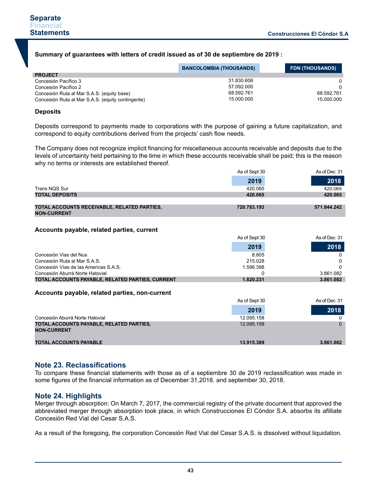### **Summary of guarantees with letters of credit issued as of 30 de septiembre de 2019 :**

|                                                   | <b>BANCOLOMBIA (THOUSANDS)</b> | <b>FDN (THOUSANDS)</b> |
|---------------------------------------------------|--------------------------------|------------------------|
| <b>PROJECT</b>                                    |                                |                        |
| Concesión Pacífico 3                              | 31.830.606                     | $\Omega$               |
| Concesión Pacífico 2                              | 57.092.000                     | $\Omega$               |
| Concesión Ruta al Mar S.A.S. (equity base)        | 68.592.761                     | 68.592.761             |
| Concesión Ruta al Mar S.A.S. (equity contingente) | 15.000.000                     | 15.000.000             |

### **Deposits**

Deposits correspond to payments made to corporations with the purpose of gaining a future capitalization, and correspond to equity contributions derived from the projects' cash flow needs.

The Company does not recognize implicit financing for miscellaneous accounts receivable and deposits due to the levels of uncertainty held pertaining to the time in which these accounts receivable shall be paid; this is the reason why no terms or interests are established thereof.

 $\overline{A}$ 

|                                                                   | As of Sept 30 | As of Dec 31 |
|-------------------------------------------------------------------|---------------|--------------|
|                                                                   | 2019          | 2018         |
| Trans NQS Sur                                                     | 420.065       | 420.065      |
| <b>TOTAL DEPOSITS</b>                                             | 420.065       | 420.065      |
|                                                                   |               |              |
| TOTAL ACCOUNTS RECEIVABLE, RELATED PARTIES,<br><b>NON-CURRENT</b> | 720.783.193   | 571.844.242  |

### **Accounts payable, related parties, current**

|                                                  | As of Sept 30 | As of Dec 31 |
|--------------------------------------------------|---------------|--------------|
|                                                  | 2019          | 2018         |
| Concesión Vias del Nus                           | 8.805         |              |
| Concesión Ruta al Mar S.A.S.                     | 215.028       |              |
| Concesión Vías de las Americas S.A.S.            | 1.596.398     |              |
| Concesión Aburrá Norte Hatovial                  |               | 3.861.082    |
| TOTAL ACCOUNTS PAYABLE. RELATED PARTIES, CURRENT | 1.820.231     | 3.861.082    |

### **Accounts payable, related parties, non-current**

|                                                                | As of Sept 30 | As of Dec 31 |
|----------------------------------------------------------------|---------------|--------------|
|                                                                | 2019          | 2018         |
| Concesión Aburrá Norte Hatovial                                | 12.095.158    |              |
| TOTAL ACCOUNTS PAYABLE, RELATED PARTIES,<br><b>NON-CURRENT</b> | 12.095.158    |              |
| <b>TOTAL ACCOUNTS PAYABLE</b>                                  | 13.915.389    | 3.861.082    |

# **Note 23. Reclassifications**

To compare these financial statements with those as of a septiembre 30 de 2019 reclassification was made in some figures of the financial information as of December 31,2018. and september 30, 2018.

# **Note 24. Highlights**

Merger through absorption: On March 7, 2017, the commercial registry of the private document that approved the abbreviated merger through absorption took place, in which Construcciones El Cóndor S.A. absorbs its afilliate Concesión Red Vial del Cesar S.A.S.

As a result of the foregoing, the corporation Concesión Red Vial del Cesar S.A.S. is dissolved without liquidation.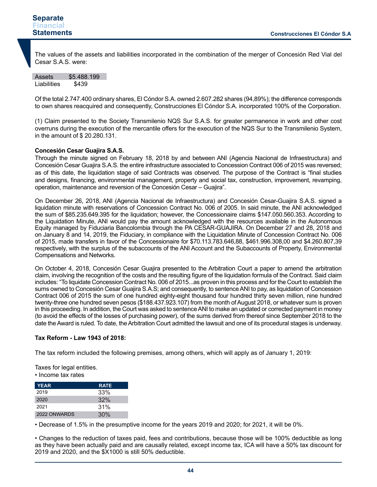The values of the assets and liabilities incorporated in the combination of the merger of Concesión Red Vial del Cesar S.A.S. were:

Assets \$5.488.199 Liabilities \$439

Of the total 2.747.400 ordinary shares, El Cóndor S.A. owned 2.607.282 shares (94,89%); the difference corresponds to own shares reacquired and consequently, Construcciones El Cóndor S.A. incorporated 100% of the Corporation.

(1) Claim presented to the Society Transmilenio NQS Sur S.A.S. for greater permanence in work and other cost overruns during the execution of the mercantile offers for the execution of the NQS Sur to the Transmilenio System, in the amount of \$ 20.280.131.

### **Concesión Cesar Guajira S.A.S.**

Through the minute signed on February 18, 2018 by and between ANI (Agencia Nacional de Infraestructura) and Concesión Cesar Guajira S.A.S. the entire infrastructure associated to Concession Contract 006 of 2015 was reversed; as of this date, the liquidation stage of said Contracts was observed. The purpose of the Contract is "final studies and designs, financing, environmental management, property and social tax, construction, improvement, revamping, operation, maintenance and reversion of the Concesión Cesar – Guajira".

On December 26, 2018, ANI (Agencia Nacional de Infraestructura) and Concesión Cesar-Guajira S.A.S. signed a liquidation minute with reservations of Concession Contract No. 006 of 2005. In said minute, the ANI acknowledged the sum of \$85.235.649.395 for the liquidation; however, the Concessionaire claims \$147.050.560.353. According to the Liquidation Minute, ANI would pay the amount acknowledged with the resources available in the Autonomous Equity managed by Fiduciaria Bancolombia through the PA CESAR-GUAJIRA. On December 27 and 28, 2018 and on January 8 and 14, 2019, the Fiduciary, in compliance with the Liquidation Minute of Concession Contract No. 006 of 2015, made transfers in favor of the Concessionaire for \$70.113.783.646,88, \$461.996.308,00 and \$4.260.807,39 respectively, with the surplus of the subaccounts of the ANI Account and the Subaccounts of Property, Environmental Compensations and Networks.

On October 4, 2018, Concesión Cesar Guajira presented to the Arbitration Court a paper to amend the arbitration claim, involving the recognition of the costs and the resulting figure of the liquidation formula of the Contract. Said claim includes: "To liquidate Concession Contract No. 006 of 2015...as proven in this process and for the Court to establish the sums owned to Concesión Cesar Guajira S.A.S; and consequently, to sentence ANI to pay, as liquidation of Concession Contract 006 of 2015 the sum of one hundred eighty-eight thousand four hundred thirty seven million, nine hundred twenty-three one hundred seven pesos (\$188.437.923.107) from the month of August 2018, or whatever sum is proven in this proceeding. In addition, the Court was asked to sentence ANI to make an updated or corrected payment in money (to avoid the effects of the losses of purchasing power), of the sums derived from thereof since September 2018 to the date the Award is ruled. To date, the Arbitration Court admitted the lawsuit and one of its procedural stages is underway.

### **Tax Reform - Law 1943 of 2018:**

The tax reform included the following premises, among others, which will apply as of January 1, 2019:

Taxes for legal entities.

• Income tax rates

| <b>YEAR</b>  | <b>RATE</b> |
|--------------|-------------|
| 2019         | 33%         |
| 2020         | 32%         |
| 2021         | 31%         |
| 2022 ONWARDS | 30%         |

• Decrease of 1.5% in the presumptive income for the years 2019 and 2020; for 2021, it will be 0%.

• Changes to the reduction of taxes paid, fees and contributions, because those will be 100% deductible as long as they have been actually paid and are causally related, except income tax, ICA will have a 50% tax discount for 2019 and 2020, and the \$X1000 is still 50% deductible.